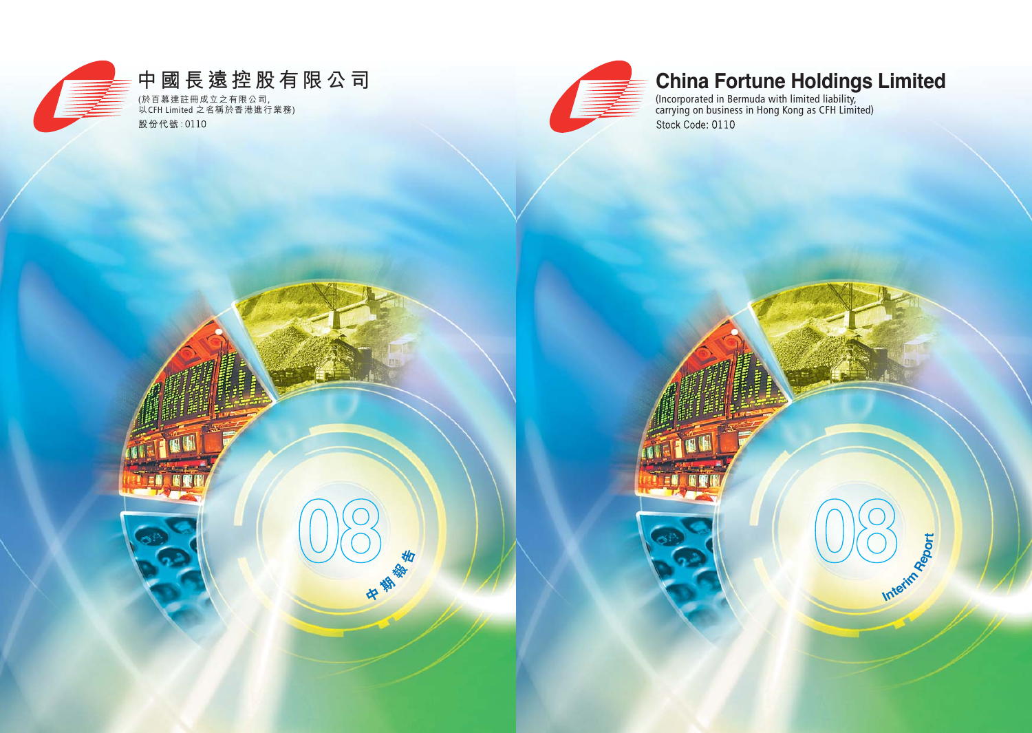

# **China Fortune Holdings Limited**

**08**

**Interim Report**

(Incorporated in Bermuda with limited liability, carrying on business in Hong Kong as CFH Limited)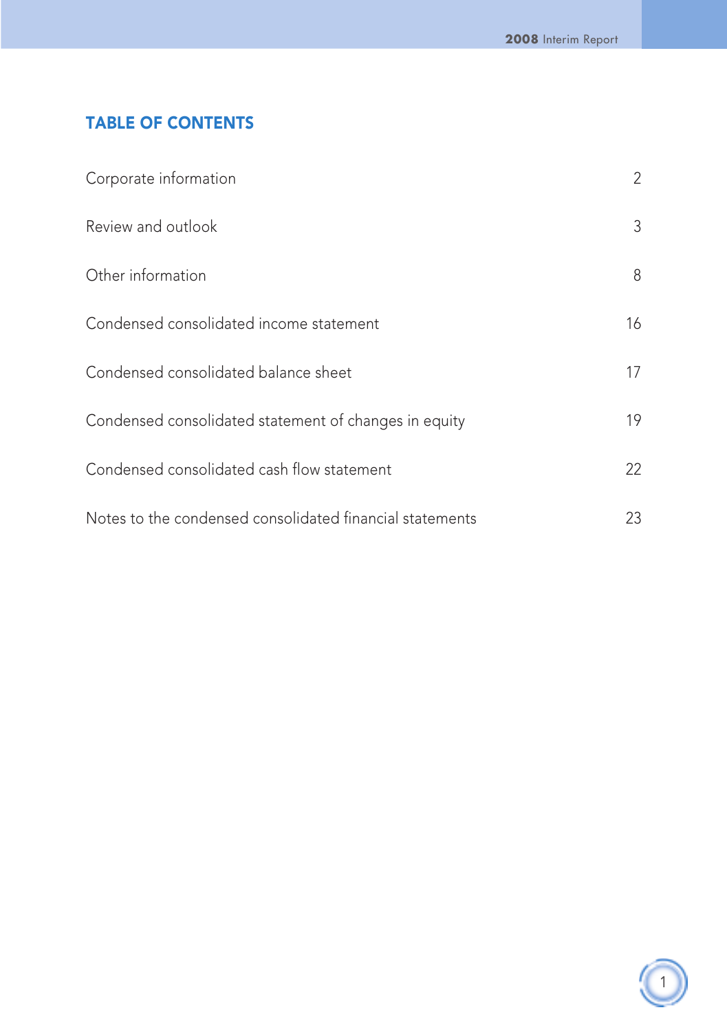## TABLE OF CONTENTS

| Corporate information                                    | 2  |
|----------------------------------------------------------|----|
| Review and outlook                                       | 3  |
| Other information                                        | 8  |
| Condensed consolidated income statement                  | 16 |
| Condensed consolidated balance sheet                     | 17 |
| Condensed consolidated statement of changes in equity    | 19 |
| Condensed consolidated cash flow statement               | 22 |
| Notes to the condensed consolidated financial statements | 23 |

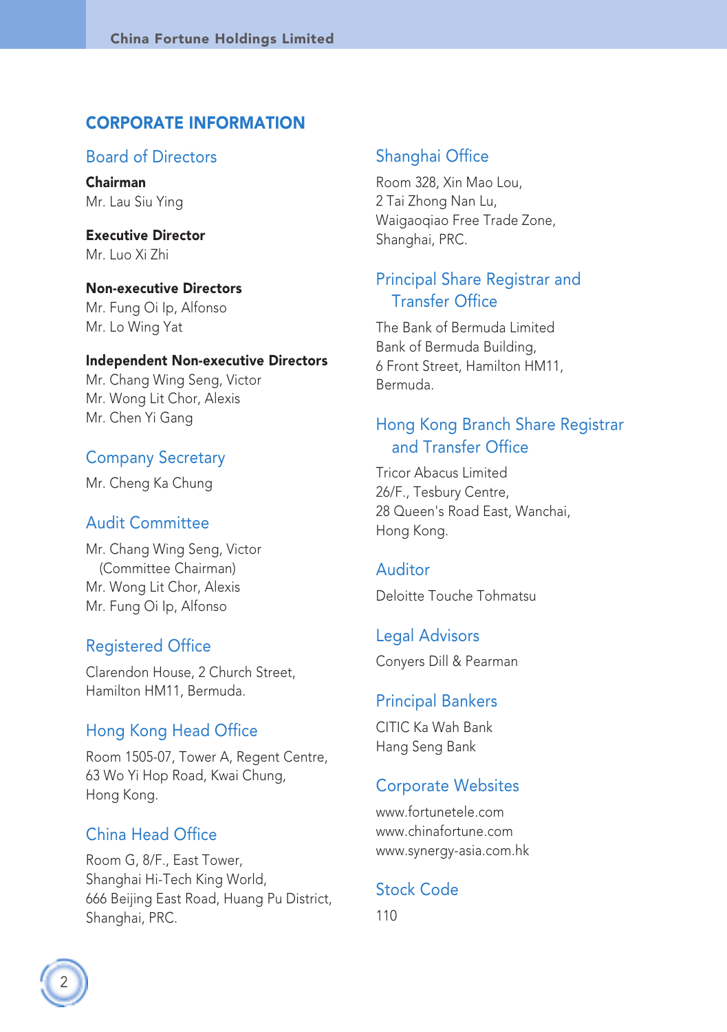### CORPORATE INFORMATION

#### Board of Directors

Chairman Mr. Lau Siu Ying

Executive Director Mr. Luo Xi Zhi

Non-executive Directors Mr. Fung Oi Ip, Alfonso Mr. Lo Wing Yat

#### Independent Non-executive Directors

Mr. Chang Wing Seng, Victor Mr. Wong Lit Chor, Alexis Mr. Chen Yi Gang

### Company Secretary

Mr. Cheng Ka Chung

#### Audit Committee

Mr. Chang Wing Seng, Victor (Committee Chairman) Mr. Wong Lit Chor, Alexis Mr. Fung Oi Ip, Alfonso

#### Registered Office

Clarendon House, 2 Church Street, Hamilton HM11, Bermuda.

#### Hong Kong Head Office

Room 1505-07, Tower A, Regent Centre, 63 Wo Yi Hop Road, Kwai Chung, Hong Kong.

## China Head Office

Room G, 8/F., East Tower, Shanghai Hi-Tech King World, 666 Beijing East Road, Huang Pu District, Shanghai, PRC.

### Shanghai Office

Room 328, Xin Mao Lou, 2 Tai Zhong Nan Lu, Waigaoqiao Free Trade Zone, Shanghai, PRC.

## Principal Share Registrar and Transfer Office

The Bank of Bermuda Limited Bank of Bermuda Building, 6 Front Street, Hamilton HM11, Bermuda.

## Hong Kong Branch Share Registrar and Transfer Office

Tricor Abacus Limited 26/F., Tesbury Centre, 28 Queen's Road East, Wanchai, Hong Kong.

#### Auditor

Deloitte Touche Tohmatsu

Legal Advisors Conyers Dill & Pearman

#### Principal Bankers

CITIC Ka Wah Bank Hang Seng Bank

#### Corporate Websites

www.fortunetele.com www.chinafortune.com www.synergy-asia.com.hk

## Stock Code

110

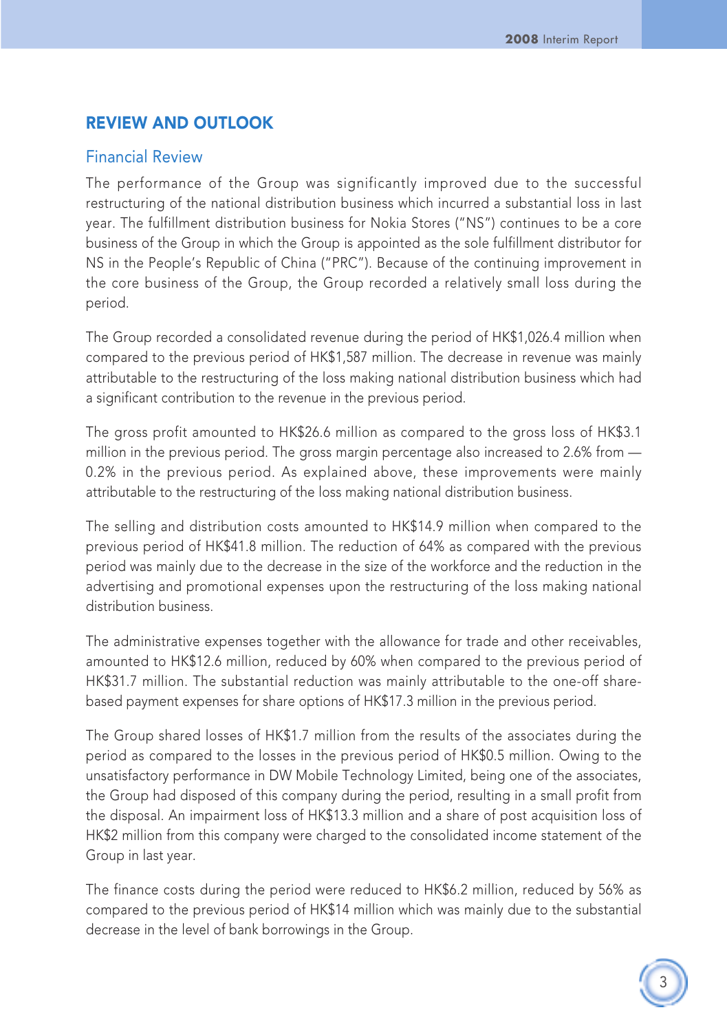## REVIEW AND OUTLOOK

#### Financial Review

The performance of the Group was significantly improved due to the successful restructuring of the national distribution business which incurred a substantial loss in last year. The fulfillment distribution business for Nokia Stores ("NS") continues to be a core business of the Group in which the Group is appointed as the sole fulfillment distributor for NS in the People's Republic of China ("PRC"). Because of the continuing improvement in the core business of the Group, the Group recorded a relatively small loss during the period.

The Group recorded a consolidated revenue during the period of HK\$1,026.4 million when compared to the previous period of HK\$1,587 million. The decrease in revenue was mainly attributable to the restructuring of the loss making national distribution business which had a significant contribution to the revenue in the previous period.

The gross profit amounted to HK\$26.6 million as compared to the gross loss of HK\$3.1 million in the previous period. The gross margin percentage also increased to 2.6% from — 0.2% in the previous period. As explained above, these improvements were mainly attributable to the restructuring of the loss making national distribution business.

The selling and distribution costs amounted to HK\$14.9 million when compared to the previous period of HK\$41.8 million. The reduction of 64% as compared with the previous period was mainly due to the decrease in the size of the workforce and the reduction in the advertising and promotional expenses upon the restructuring of the loss making national distribution business.

The administrative expenses together with the allowance for trade and other receivables, amounted to HK\$12.6 million, reduced by 60% when compared to the previous period of HK\$31.7 million. The substantial reduction was mainly attributable to the one-off sharebased payment expenses for share options of HK\$17.3 million in the previous period.

The Group shared losses of HK\$1.7 million from the results of the associates during the period as compared to the losses in the previous period of HK\$0.5 million. Owing to the unsatisfactory performance in DW Mobile Technology Limited, being one of the associates, the Group had disposed of this company during the period, resulting in a small profit from the disposal. An impairment loss of HK\$13.3 million and a share of post acquisition loss of HK\$2 million from this company were charged to the consolidated income statement of the Group in last year.

The finance costs during the period were reduced to HK\$6.2 million, reduced by 56% as compared to the previous period of HK\$14 million which was mainly due to the substantial decrease in the level of bank borrowings in the Group.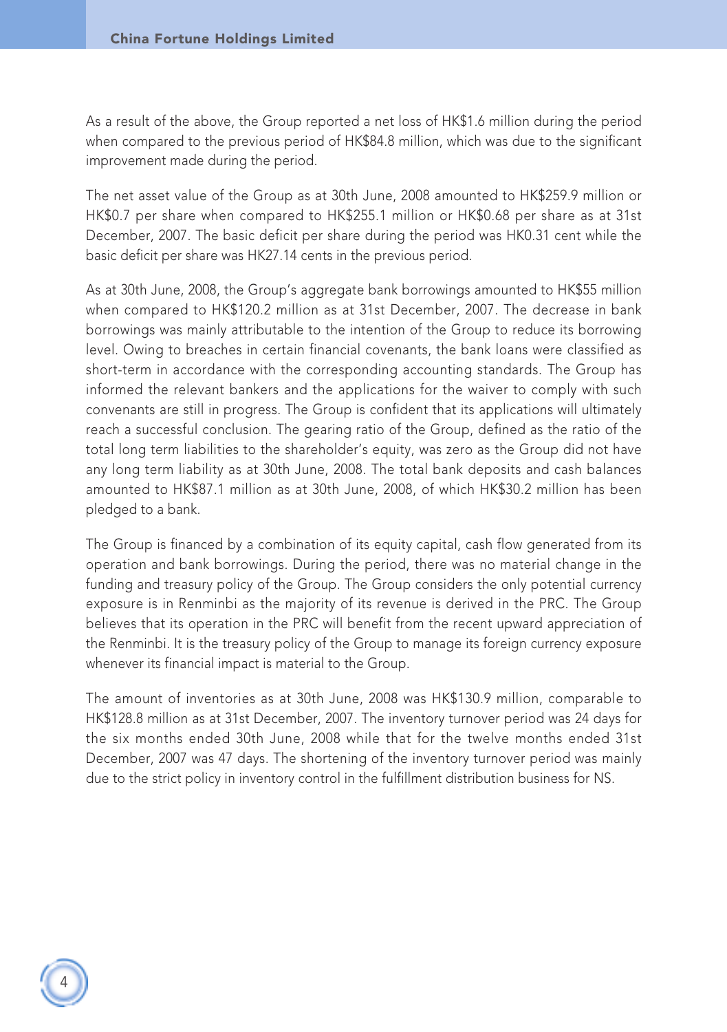As a result of the above, the Group reported a net loss of HK\$1.6 million during the period when compared to the previous period of HK\$84.8 million, which was due to the significant improvement made during the period.

The net asset value of the Group as at 30th June, 2008 amounted to HK\$259.9 million or HK\$0.7 per share when compared to HK\$255.1 million or HK\$0.68 per share as at 31st December, 2007. The basic deficit per share during the period was HK0.31 cent while the basic deficit per share was HK27.14 cents in the previous period.

As at 30th June, 2008, the Group's aggregate bank borrowings amounted to HK\$55 million when compared to HK\$120.2 million as at 31st December, 2007. The decrease in bank borrowings was mainly attributable to the intention of the Group to reduce its borrowing level. Owing to breaches in certain financial covenants, the bank loans were classified as short-term in accordance with the corresponding accounting standards. The Group has informed the relevant bankers and the applications for the waiver to comply with such convenants are still in progress. The Group is confident that its applications will ultimately reach a successful conclusion. The gearing ratio of the Group, defined as the ratio of the total long term liabilities to the shareholder's equity, was zero as the Group did not have any long term liability as at 30th June, 2008. The total bank deposits and cash balances amounted to HK\$87.1 million as at 30th June, 2008, of which HK\$30.2 million has been pledged to a bank.

The Group is financed by a combination of its equity capital, cash flow generated from its operation and bank borrowings. During the period, there was no material change in the funding and treasury policy of the Group. The Group considers the only potential currency exposure is in Renminbi as the majority of its revenue is derived in the PRC. The Group believes that its operation in the PRC will benefit from the recent upward appreciation of the Renminbi. It is the treasury policy of the Group to manage its foreign currency exposure whenever its financial impact is material to the Group.

The amount of inventories as at 30th June, 2008 was HK\$130.9 million, comparable to HK\$128.8 million as at 31st December, 2007. The inventory turnover period was 24 days for the six months ended 30th June, 2008 while that for the twelve months ended 31st December, 2007 was 47 days. The shortening of the inventory turnover period was mainly due to the strict policy in inventory control in the fulfillment distribution business for NS.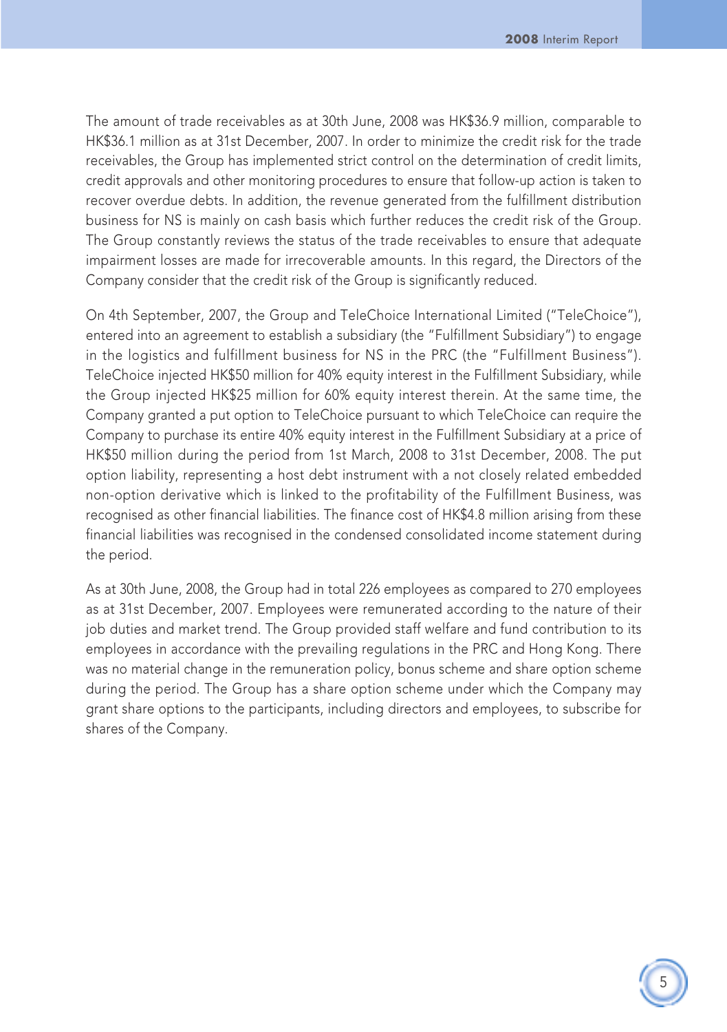The amount of trade receivables as at 30th June, 2008 was HK\$36.9 million, comparable to HK\$36.1 million as at 31st December, 2007. In order to minimize the credit risk for the trade receivables, the Group has implemented strict control on the determination of credit limits, credit approvals and other monitoring procedures to ensure that follow-up action is taken to recover overdue debts. In addition, the revenue generated from the fulfillment distribution business for NS is mainly on cash basis which further reduces the credit risk of the Group. The Group constantly reviews the status of the trade receivables to ensure that adequate impairment losses are made for irrecoverable amounts. In this regard, the Directors of the Company consider that the credit risk of the Group is significantly reduced.

On 4th September, 2007, the Group and TeleChoice International Limited ("TeleChoice"), entered into an agreement to establish a subsidiary (the "Fulfillment Subsidiary") to engage in the logistics and fulfillment business for NS in the PRC (the "Fulfillment Business"). TeleChoice injected HK\$50 million for 40% equity interest in the Fulfillment Subsidiary, while the Group injected HK\$25 million for 60% equity interest therein. At the same time, the Company granted a put option to TeleChoice pursuant to which TeleChoice can require the Company to purchase its entire 40% equity interest in the Fulfillment Subsidiary at a price of HK\$50 million during the period from 1st March, 2008 to 31st December, 2008. The put option liability, representing a host debt instrument with a not closely related embedded non-option derivative which is linked to the profitability of the Fulfillment Business, was recognised as other financial liabilities. The finance cost of HK\$4.8 million arising from these financial liabilities was recognised in the condensed consolidated income statement during the period.

As at 30th June, 2008, the Group had in total 226 employees as compared to 270 employees as at 31st December, 2007. Employees were remunerated according to the nature of their job duties and market trend. The Group provided staff welfare and fund contribution to its employees in accordance with the prevailing regulations in the PRC and Hong Kong. There was no material change in the remuneration policy, bonus scheme and share option scheme during the period. The Group has a share option scheme under which the Company may grant share options to the participants, including directors and employees, to subscribe for shares of the Company.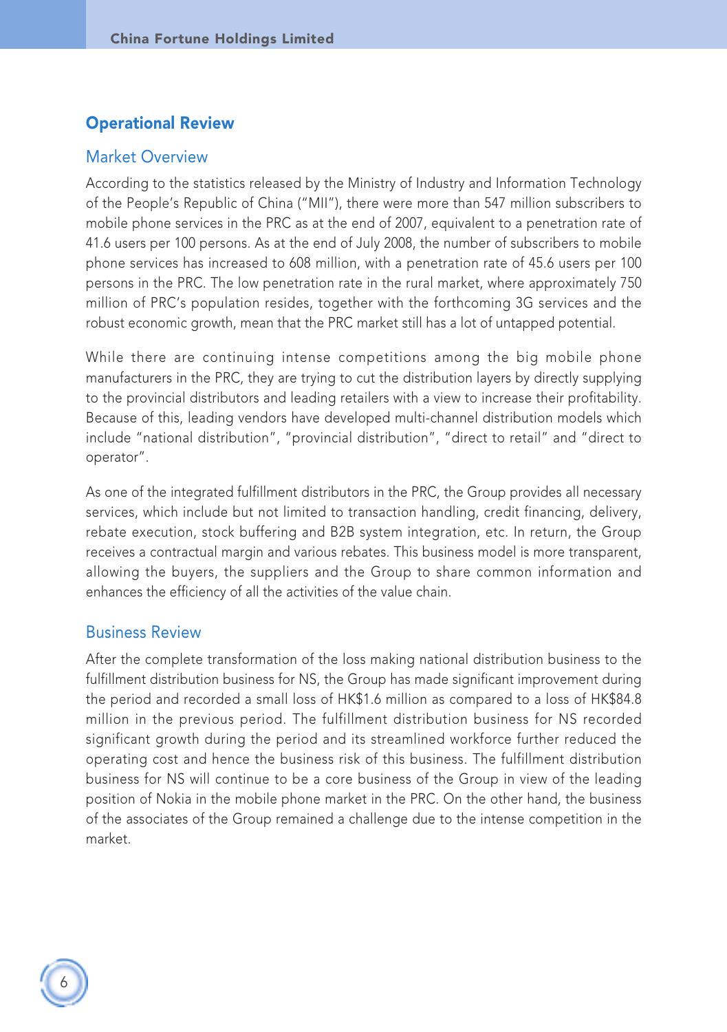## Operational Review

#### Market Overview

According to the statistics released by the Ministry of Industry and Information Technology of the People's Republic of China ("MII"), there were more than 547 million subscribers to mobile phone services in the PRC as at the end of 2007, equivalent to a penetration rate of 41.6 users per 100 persons. As at the end of July 2008, the number of subscribers to mobile phone services has increased to 608 million, with a penetration rate of 45.6 users per 100 persons in the PRC. The low penetration rate in the rural market, where approximately 750 million of PRC's population resides, together with the forthcoming 3G services and the robust economic growth, mean that the PRC market still has a lot of untapped potential.

While there are continuing intense competitions among the big mobile phone manufacturers in the PRC, they are trying to cut the distribution layers by directly supplying to the provincial distributors and leading retailers with a view to increase their profitability. Because of this, leading vendors have developed multi-channel distribution models which include "national distribution", "provincial distribution", "direct to retail" and "direct to operator".

As one of the integrated fulfillment distributors in the PRC, the Group provides all necessary services, which include but not limited to transaction handling, credit financing, delivery, rebate execution, stock buffering and B2B system integration, etc. In return, the Group receives a contractual margin and various rebates. This business model is more transparent, allowing the buyers, the suppliers and the Group to share common information and enhances the efficiency of all the activities of the value chain.

#### Business Review

After the complete transformation of the loss making national distribution business to the fulfillment distribution business for NS, the Group has made significant improvement during the period and recorded a small loss of HK\$1.6 million as compared to a loss of HK\$84.8 million in the previous period. The fulfillment distribution business for NS recorded significant growth during the period and its streamlined workforce further reduced the operating cost and hence the business risk of this business. The fulfillment distribution business for NS will continue to be a core business of the Group in view of the leading position of Nokia in the mobile phone market in the PRC. On the other hand, the business of the associates of the Group remained a challenge due to the intense competition in the market.

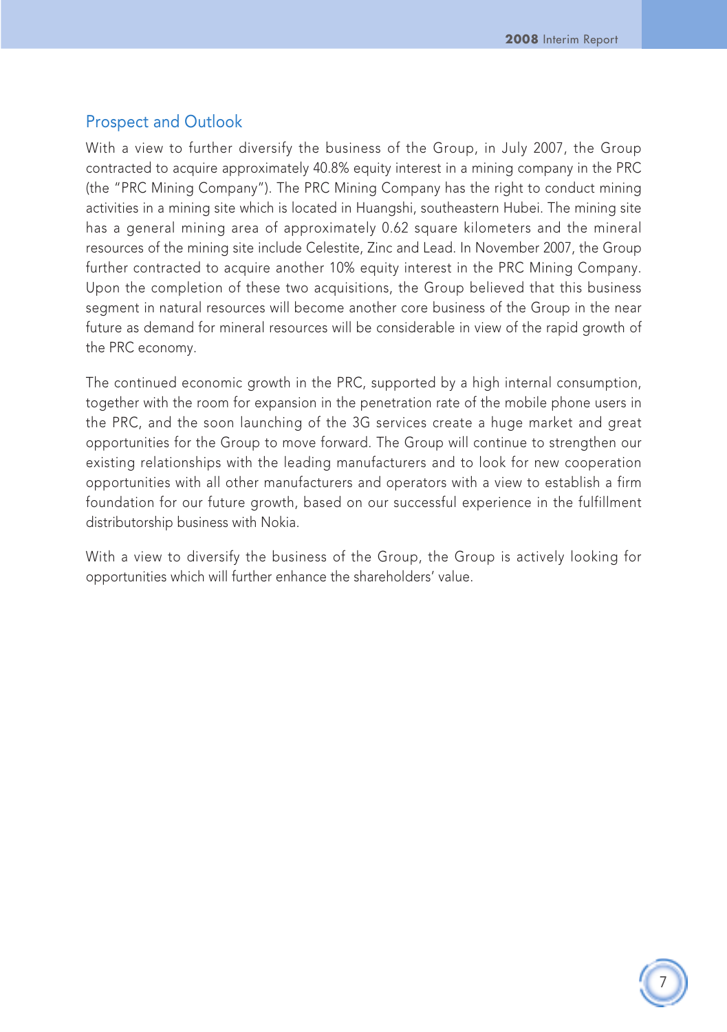## Prospect and Outlook

With a view to further diversify the business of the Group, in July 2007, the Group contracted to acquire approximately 40.8% equity interest in a mining company in the PRC (the "PRC Mining Company"). The PRC Mining Company has the right to conduct mining activities in a mining site which is located in Huangshi, southeastern Hubei. The mining site has a general mining area of approximately 0.62 square kilometers and the mineral resources of the mining site include Celestite, Zinc and Lead. In November 2007, the Group further contracted to acquire another 10% equity interest in the PRC Mining Company. Upon the completion of these two acquisitions, the Group believed that this business segment in natural resources will become another core business of the Group in the near future as demand for mineral resources will be considerable in view of the rapid growth of the PRC economy.

The continued economic growth in the PRC, supported by a high internal consumption, together with the room for expansion in the penetration rate of the mobile phone users in the PRC, and the soon launching of the 3G services create a huge market and great opportunities for the Group to move forward. The Group will continue to strengthen our existing relationships with the leading manufacturers and to look for new cooperation opportunities with all other manufacturers and operators with a view to establish a firm foundation for our future growth, based on our successful experience in the fulfillment distributorship business with Nokia.

With a view to diversify the business of the Group, the Group is actively looking for opportunities which will further enhance the shareholders' value.

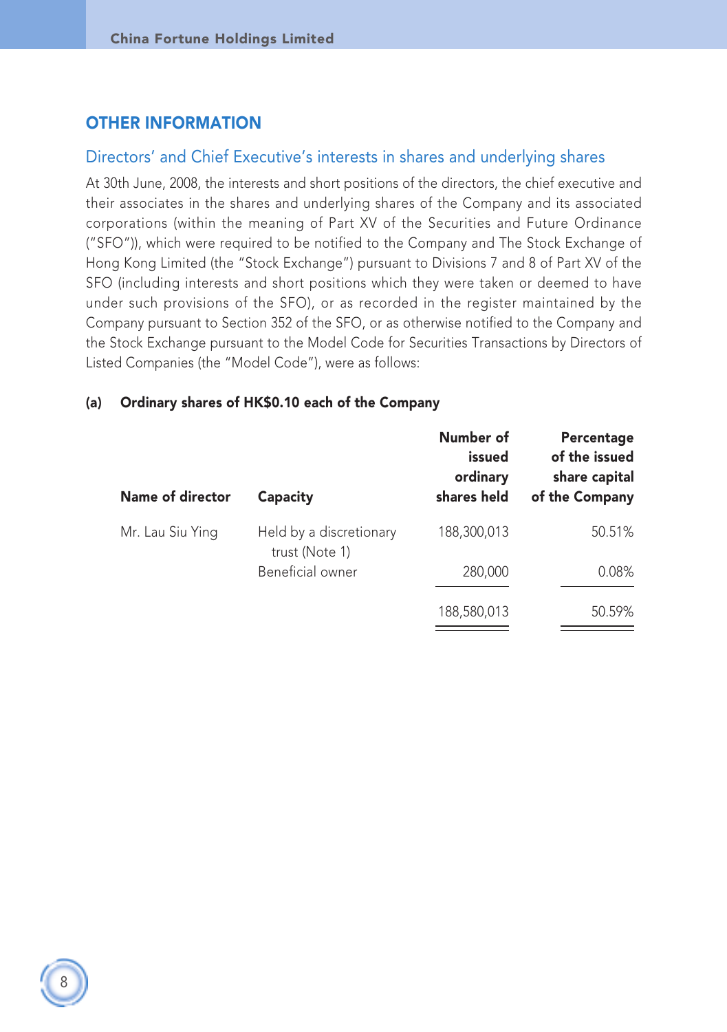## OTHER INFORMATION

#### Directors' and Chief Executive's interests in shares and underlying shares

At 30th June, 2008, the interests and short positions of the directors, the chief executive and their associates in the shares and underlying shares of the Company and its associated corporations (within the meaning of Part XV of the Securities and Future Ordinance ("SFO")), which were required to be notified to the Company and The Stock Exchange of Hong Kong Limited (the "Stock Exchange") pursuant to Divisions 7 and 8 of Part XV of the SFO (including interests and short positions which they were taken or deemed to have under such provisions of the SFO), or as recorded in the register maintained by the Company pursuant to Section 352 of the SFO, or as otherwise notified to the Company and the Stock Exchange pursuant to the Model Code for Securities Transactions by Directors of Listed Companies (the "Model Code"), were as follows:

#### (a) Ordinary shares of HK\$0.10 each of the Company

| <b>Name of director</b> | Capacity                                  |             | Percentage<br>of the issued<br>share capital<br>of the Company |
|-------------------------|-------------------------------------------|-------------|----------------------------------------------------------------|
| Mr. Lau Siu Ying        | Held by a discretionary<br>trust (Note 1) | 188,300,013 | 50.51%                                                         |
|                         | Beneficial owner                          | 280,000     | 0.08%                                                          |
|                         |                                           | 188,580,013 | 50.59%                                                         |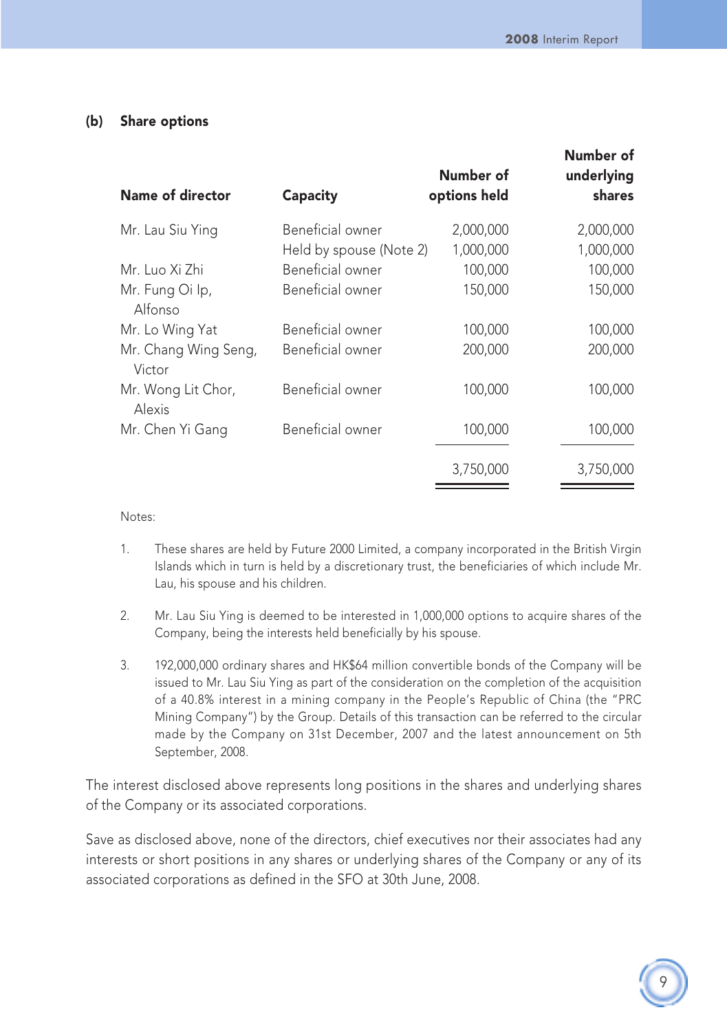#### (b) Share options

| Name of director               | Capacity                | Number of<br>options held | Number of<br>underlying<br>shares |
|--------------------------------|-------------------------|---------------------------|-----------------------------------|
| Mr. Lau Siu Ying               | Beneficial owner        | 2,000,000                 | 2,000,000                         |
|                                | Held by spouse (Note 2) | 1,000,000                 | 1,000,000                         |
| Mr. Luo Xi Zhi                 | Beneficial owner        | 100,000                   | 100,000                           |
| Mr. Fung Oi Ip,<br>Alfonso     | Beneficial owner        | 150,000                   | 150,000                           |
| Mr. Lo Wing Yat                | Beneficial owner        | 100,000                   | 100,000                           |
| Mr. Chang Wing Seng,<br>Victor | Beneficial owner        | 200.000                   | 200,000                           |
| Mr. Wong Lit Chor,<br>Alexis   | Beneficial owner        | 100,000                   | 100,000                           |
| Mr. Chen Yi Gang               | Beneficial owner        | 100,000                   | 100,000                           |
|                                |                         | 3,750,000                 | 3,750,000                         |

Notes:

- 1. These shares are held by Future 2000 Limited, a company incorporated in the British Virgin Islands which in turn is held by a discretionary trust, the beneficiaries of which include Mr. Lau, his spouse and his children.
- 2. Mr. Lau Siu Ying is deemed to be interested in 1,000,000 options to acquire shares of the Company, being the interests held beneficially by his spouse.
- 3. 192,000,000 ordinary shares and HK\$64 million convertible bonds of the Company will be issued to Mr. Lau Siu Ying as part of the consideration on the completion of the acquisition of a 40.8% interest in a mining company in the People's Republic of China (the "PRC Mining Company") by the Group. Details of this transaction can be referred to the circular made by the Company on 31st December, 2007 and the latest announcement on 5th September, 2008.

The interest disclosed above represents long positions in the shares and underlying shares of the Company or its associated corporations.

Save as disclosed above, none of the directors, chief executives nor their associates had any interests or short positions in any shares or underlying shares of the Company or any of its associated corporations as defined in the SFO at 30th June, 2008.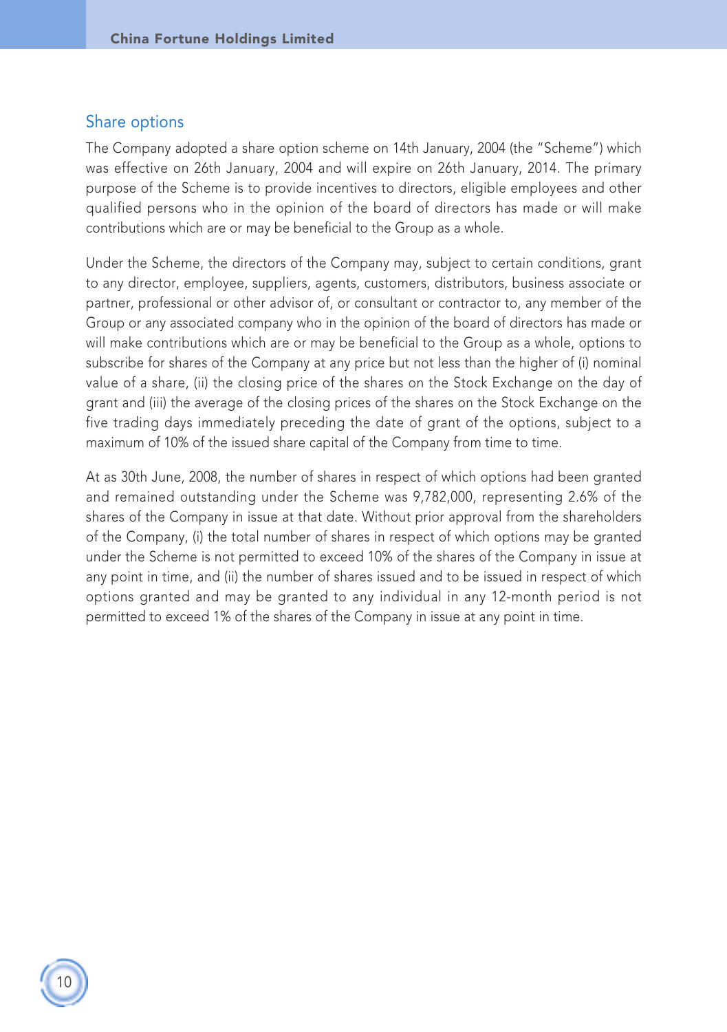#### Share options

The Company adopted a share option scheme on 14th January, 2004 (the "Scheme") which was effective on 26th January, 2004 and will expire on 26th January, 2014. The primary purpose of the Scheme is to provide incentives to directors, eligible employees and other qualified persons who in the opinion of the board of directors has made or will make contributions which are or may be beneficial to the Group as a whole.

Under the Scheme, the directors of the Company may, subject to certain conditions, grant to any director, employee, suppliers, agents, customers, distributors, business associate or partner, professional or other advisor of, or consultant or contractor to, any member of the Group or any associated company who in the opinion of the board of directors has made or will make contributions which are or may be beneficial to the Group as a whole, options to subscribe for shares of the Company at any price but not less than the higher of (i) nominal value of a share, (ii) the closing price of the shares on the Stock Exchange on the day of grant and (iii) the average of the closing prices of the shares on the Stock Exchange on the five trading days immediately preceding the date of grant of the options, subject to a maximum of 10% of the issued share capital of the Company from time to time.

At as 30th June, 2008, the number of shares in respect of which options had been granted and remained outstanding under the Scheme was 9,782,000, representing 2.6% of the shares of the Company in issue at that date. Without prior approval from the shareholders of the Company, (i) the total number of shares in respect of which options may be granted under the Scheme is not permitted to exceed 10% of the shares of the Company in issue at any point in time, and (ii) the number of shares issued and to be issued in respect of which options granted and may be granted to any individual in any 12-month period is not permitted to exceed 1% of the shares of the Company in issue at any point in time.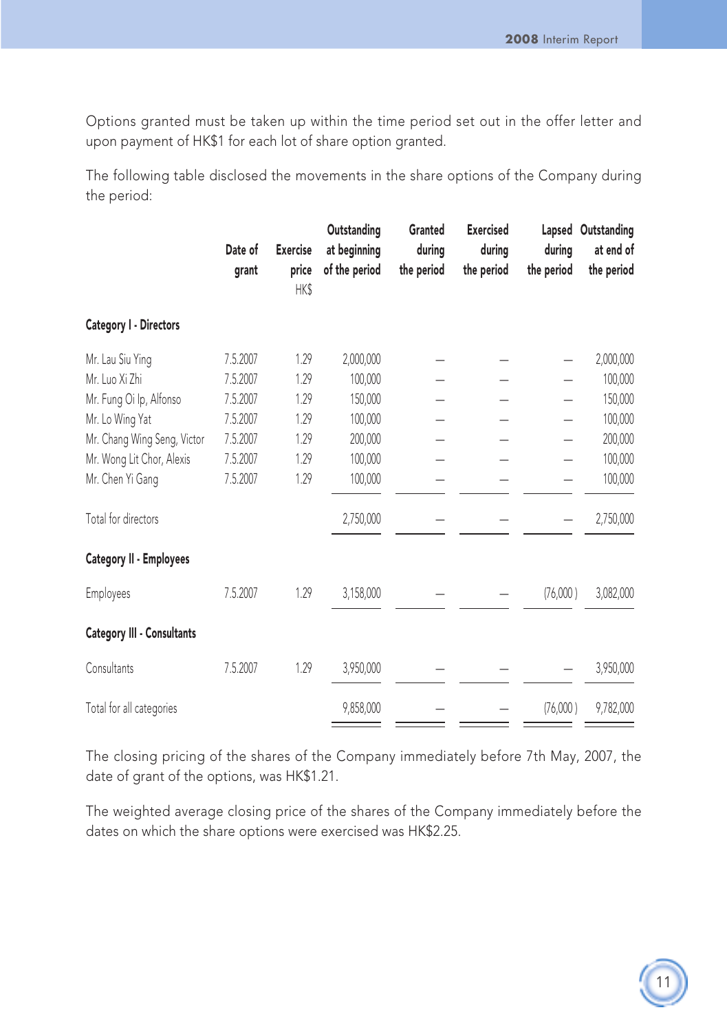Options granted must be taken up within the time period set out in the offer letter and upon payment of HK\$1 for each lot of share option granted.

The following table disclosed the movements in the share options of the Company during the period:

|                             | Date of<br>grant | <b>Exercise</b><br>price<br>HK\$ | Outstanding<br>at beginning<br>of the period | Granted<br>during<br>the period | <b>Exercised</b><br>during<br>the period | during<br>the period     | Lapsed Outstanding<br>at end of<br>the period |
|-----------------------------|------------------|----------------------------------|----------------------------------------------|---------------------------------|------------------------------------------|--------------------------|-----------------------------------------------|
| Category I - Directors      |                  |                                  |                                              |                                 |                                          |                          |                                               |
| Mr. Lau Siu Ying            | 7.5.2007         | 1.29                             | 2,000,000                                    |                                 |                                          | $\overline{\phantom{0}}$ | 2,000,000                                     |
| Mr. Luo Xi Zhi              | 7.5.2007         | 1.29                             | 100,000                                      |                                 |                                          |                          | 100,000                                       |
| Mr. Fung Oi Ip, Alfonso     | 7.5.2007         | 1.29                             | 150,000                                      |                                 |                                          |                          | 150,000                                       |
| Mr. Lo Wing Yat             | 7.5.2007         | 1.29                             | 100,000                                      |                                 |                                          |                          | 100,000                                       |
| Mr. Chang Wing Seng, Victor | 7.5.2007         | 1.29                             | 200,000                                      |                                 |                                          |                          | 200,000                                       |
| Mr. Wong Lit Chor, Alexis   | 7.5.2007         | 1.29                             | 100,000                                      |                                 |                                          |                          | 100,000                                       |
| Mr. Chen Yi Gang            | 7.5.2007         | 1.29                             | 100,000                                      |                                 |                                          | -                        | 100,000                                       |
| Total for directors         |                  |                                  | 2,750,000                                    |                                 |                                          |                          | 2,750,000                                     |
| Category II - Employees     |                  |                                  |                                              |                                 |                                          |                          |                                               |
| Employees                   | 7.5.2007         | 1.29                             | 3,158,000                                    |                                 |                                          | (76,000)                 | 3,082,000                                     |
| Category III - Consultants  |                  |                                  |                                              |                                 |                                          |                          |                                               |
| Consultants                 | 7.5.2007         | 1.29                             | 3,950,000                                    |                                 |                                          |                          | 3,950,000                                     |
| Total for all categories    |                  |                                  | 9,858,000                                    |                                 |                                          | (76,000)                 | 9,782,000                                     |

The closing pricing of the shares of the Company immediately before 7th May, 2007, the date of grant of the options, was HK\$1.21.

The weighted average closing price of the shares of the Company immediately before the dates on which the share options were exercised was HK\$2.25.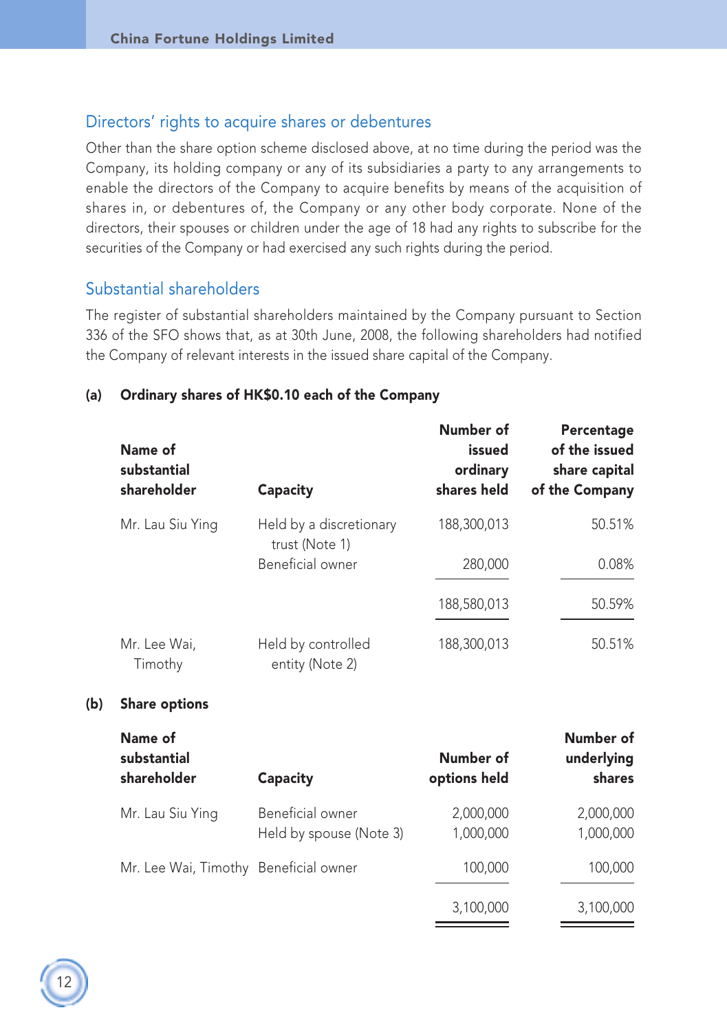### Directors' rights to acquire shares or debentures

Other than the share option scheme disclosed above, at no time during the period was the Company, its holding company or any of its subsidiaries a party to any arrangements to enable the directors of the Company to acquire benefits by means of the acquisition of shares in, or debentures of, the Company or any other body corporate. None of the directors, their spouses or children under the age of 18 had any rights to subscribe for the securities of the Company or had exercised any such rights during the period.

#### Substantial shareholders

The register of substantial shareholders maintained by the Company pursuant to Section 336 of the SFO shows that, as at 30th June, 2008, the following shareholders had notified the Company of relevant interests in the issued share capital of the Company.

| Name of<br>substantial<br>shareholder | Capacity                              | Number of<br>issued<br>ordinary<br>shares held | Percentage<br>of the issued<br>share capital<br>of the Company |
|---------------------------------------|---------------------------------------|------------------------------------------------|----------------------------------------------------------------|
| Mr. Lau Siu Ying                      | Held by a discretionary               | 188,300,013                                    | 50.51%                                                         |
|                                       | trust (Note 1)<br>Beneficial owner    | 280,000                                        | 0.08%                                                          |
|                                       |                                       | 188,580,013                                    | 50.59%                                                         |
| Mr. Lee Wai.<br>Timothy               | Held by controlled<br>entity (Note 2) | 188,300,013                                    | 50.51%                                                         |
|                                       |                                       |                                                |                                                                |

#### (a) Ordinary shares of HK\$0.10 each of the Company

#### (b) Share options

| Name of<br>substantial<br>shareholder | Capacity                                    | Number of<br>options held | Number of<br>underlying<br>shares |
|---------------------------------------|---------------------------------------------|---------------------------|-----------------------------------|
| Mr. Lau Siu Ying                      | Beneficial owner<br>Held by spouse (Note 3) | 2.000.000<br>1,000,000    | 2,000,000<br>1,000,000            |
| Mr. Lee Wai, Timothy Beneficial owner |                                             | 100,000                   | 100,000                           |
|                                       |                                             | 3,100,000                 | 3,100,000                         |

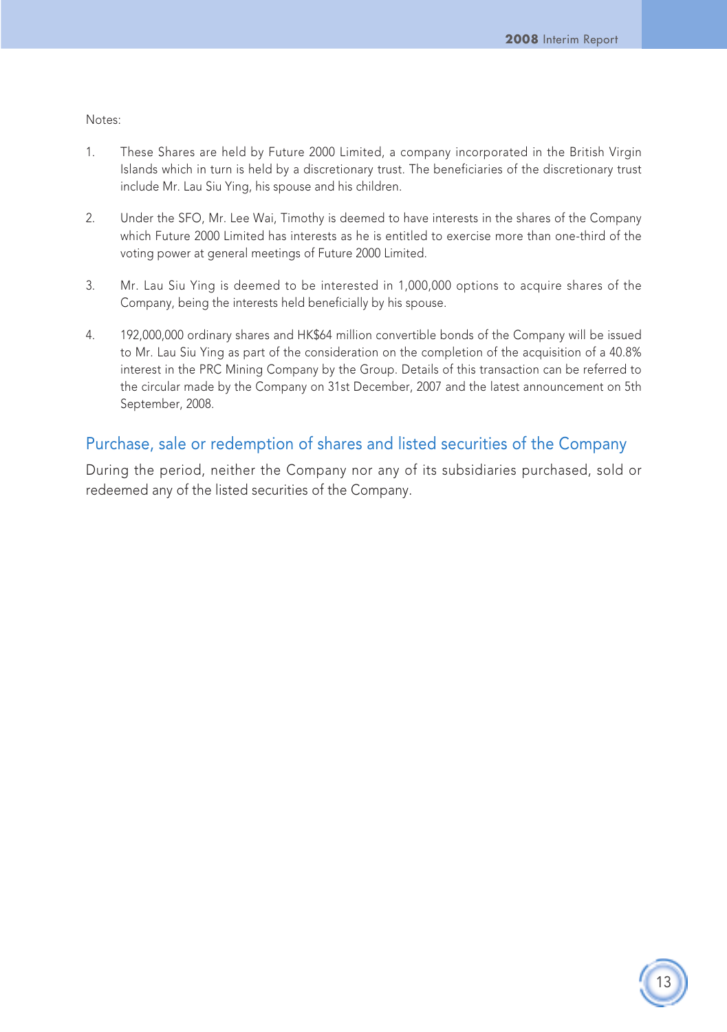Notes:

- 1. These Shares are held by Future 2000 Limited, a company incorporated in the British Virgin Islands which in turn is held by a discretionary trust. The beneficiaries of the discretionary trust include Mr. Lau Siu Ying, his spouse and his children.
- 2. Under the SFO, Mr. Lee Wai, Timothy is deemed to have interests in the shares of the Company which Future 2000 Limited has interests as he is entitled to exercise more than one-third of the voting power at general meetings of Future 2000 Limited.
- 3. Mr. Lau Siu Ying is deemed to be interested in 1,000,000 options to acquire shares of the Company, being the interests held beneficially by his spouse.
- 4. 192,000,000 ordinary shares and HK\$64 million convertible bonds of the Company will be issued to Mr. Lau Siu Ying as part of the consideration on the completion of the acquisition of a 40.8% interest in the PRC Mining Company by the Group. Details of this transaction can be referred to the circular made by the Company on 31st December, 2007 and the latest announcement on 5th September, 2008.

### Purchase, sale or redemption of shares and listed securities of the Company

During the period, neither the Company nor any of its subsidiaries purchased, sold or redeemed any of the listed securities of the Company.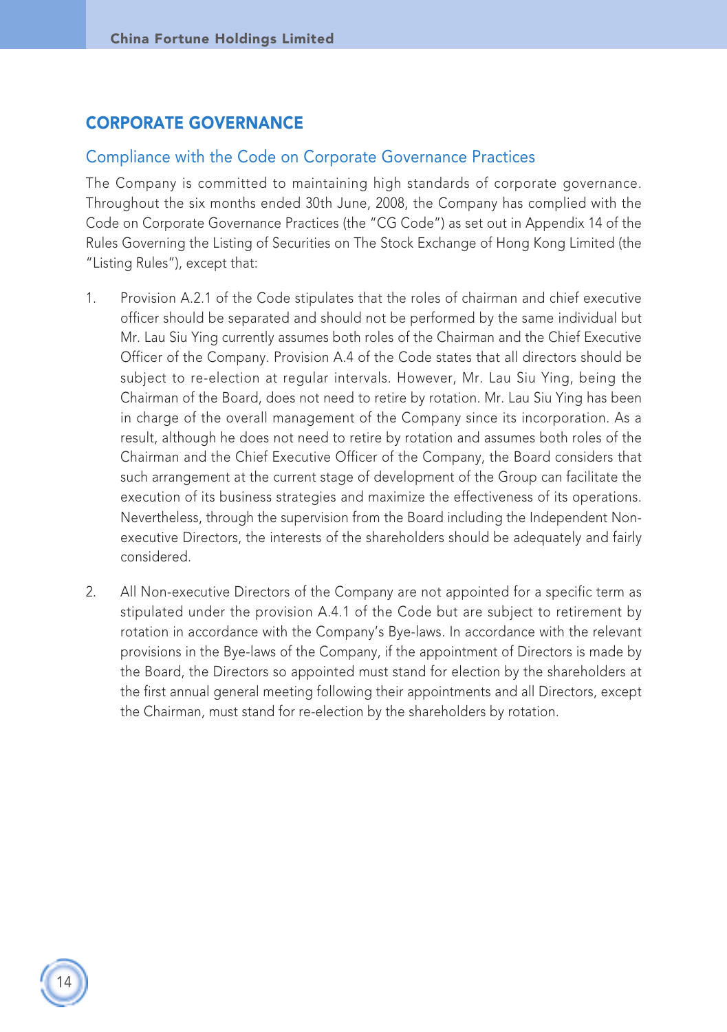## CORPORATE GOVERNANCE

#### Compliance with the Code on Corporate Governance Practices

The Company is committed to maintaining high standards of corporate governance. Throughout the six months ended 30th June, 2008, the Company has complied with the Code on Corporate Governance Practices (the "CG Code") as set out in Appendix 14 of the Rules Governing the Listing of Securities on The Stock Exchange of Hong Kong Limited (the "Listing Rules"), except that:

- 1. Provision A.2.1 of the Code stipulates that the roles of chairman and chief executive officer should be separated and should not be performed by the same individual but Mr. Lau Siu Ying currently assumes both roles of the Chairman and the Chief Executive Officer of the Company. Provision A.4 of the Code states that all directors should be subject to re-election at regular intervals. However, Mr. Lau Siu Ying, being the Chairman of the Board, does not need to retire by rotation. Mr. Lau Siu Ying has been in charge of the overall management of the Company since its incorporation. As a result, although he does not need to retire by rotation and assumes both roles of the Chairman and the Chief Executive Officer of the Company, the Board considers that such arrangement at the current stage of development of the Group can facilitate the execution of its business strategies and maximize the effectiveness of its operations. Nevertheless, through the supervision from the Board including the Independent Nonexecutive Directors, the interests of the shareholders should be adequately and fairly considered.
- 2. All Non-executive Directors of the Company are not appointed for a specific term as stipulated under the provision A.4.1 of the Code but are subject to retirement by rotation in accordance with the Company's Bye-laws. In accordance with the relevant provisions in the Bye-laws of the Company, if the appointment of Directors is made by the Board, the Directors so appointed must stand for election by the shareholders at the first annual general meeting following their appointments and all Directors, except the Chairman, must stand for re-election by the shareholders by rotation.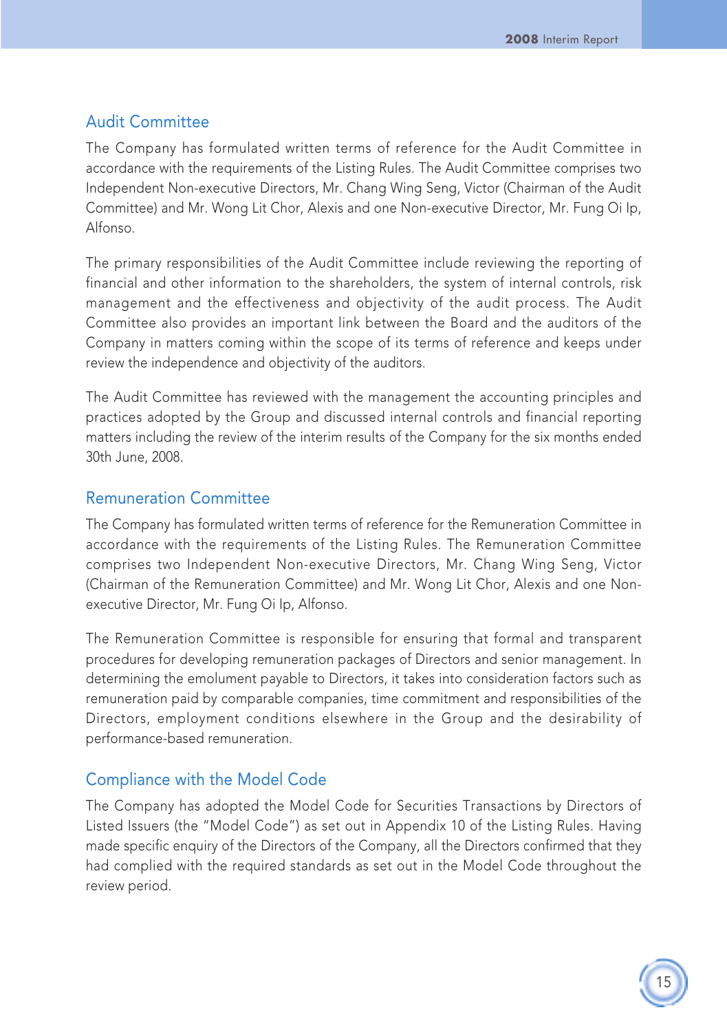## Audit Committee

The Company has formulated written terms of reference for the Audit Committee in accordance with the requirements of the Listing Rules. The Audit Committee comprises two Independent Non-executive Directors, Mr. Chang Wing Seng, Victor (Chairman of the Audit Committee) and Mr. Wong Lit Chor, Alexis and one Non-executive Director, Mr. Fung Oi Ip, Alfonso.

The primary responsibilities of the Audit Committee include reviewing the reporting of financial and other information to the shareholders, the system of internal controls, risk management and the effectiveness and objectivity of the audit process. The Audit Committee also provides an important link between the Board and the auditors of the Company in matters coming within the scope of its terms of reference and keeps under review the independence and objectivity of the auditors.

The Audit Committee has reviewed with the management the accounting principles and practices adopted by the Group and discussed internal controls and financial reporting matters including the review of the interim results of the Company for the six months ended 30th June, 2008.

#### Remuneration Committee

The Company has formulated written terms of reference for the Remuneration Committee in accordance with the requirements of the Listing Rules. The Remuneration Committee comprises two Independent Non-executive Directors, Mr. Chang Wing Seng, Victor (Chairman of the Remuneration Committee) and Mr. Wong Lit Chor, Alexis and one Nonexecutive Director, Mr. Fung Oi Ip, Alfonso.

The Remuneration Committee is responsible for ensuring that formal and transparent procedures for developing remuneration packages of Directors and senior management. In determining the emolument payable to Directors, it takes into consideration factors such as remuneration paid by comparable companies, time commitment and responsibilities of the Directors, employment conditions elsewhere in the Group and the desirability of performance-based remuneration.

## Compliance with the Model Code

The Company has adopted the Model Code for Securities Transactions by Directors of Listed Issuers (the "Model Code") as set out in Appendix 10 of the Listing Rules. Having made specific enquiry of the Directors of the Company, all the Directors confirmed that they had complied with the required standards as set out in the Model Code throughout the review period.

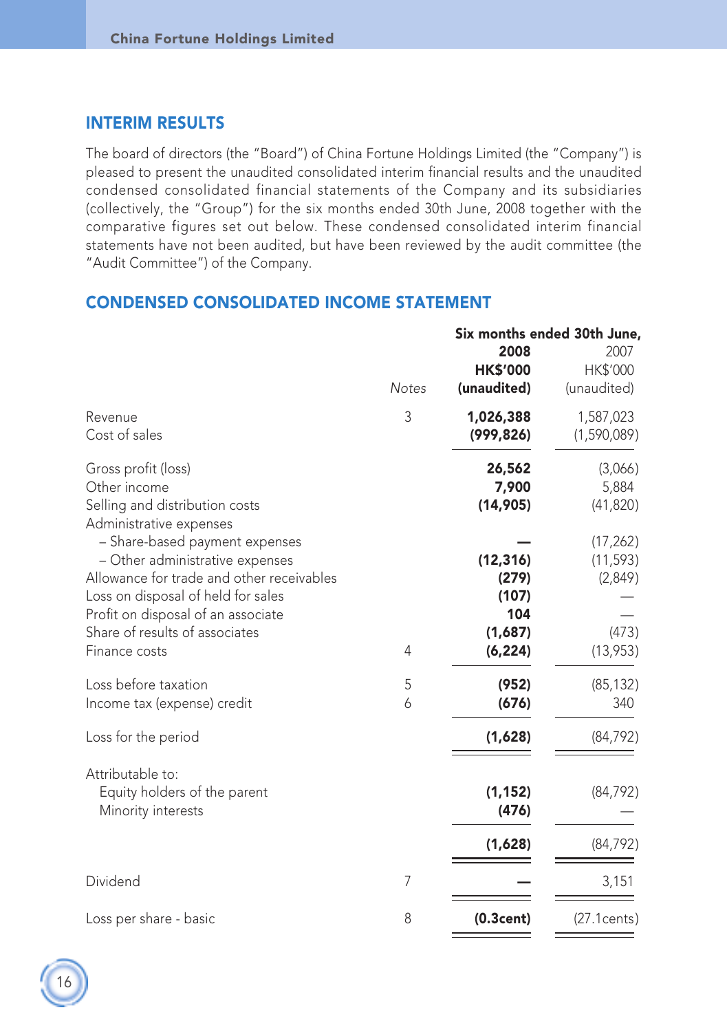### INTERIM RESULTS

The board of directors (the "Board") of China Fortune Holdings Limited (the "Company") is pleased to present the unaudited consolidated interim financial results and the unaudited condensed consolidated financial statements of the Company and its subsidiaries (collectively, the "Group") for the six months ended 30th June, 2008 together with the comparative figures set out below. These condensed consolidated interim financial statements have not been audited, but have been reviewed by the audit committee (the "Audit Committee") of the Company.

#### CONDENSED CONSOLIDATED INCOME STATEMENT

|                                                                                                                                                                                            | <b>Notes</b> | 2008<br><b>HK\$'000</b><br>(unaudited) | Six months ended 30th June,<br>2007<br>HK\$'000<br>(unaudited) |
|--------------------------------------------------------------------------------------------------------------------------------------------------------------------------------------------|--------------|----------------------------------------|----------------------------------------------------------------|
| Revenue<br>Cost of sales                                                                                                                                                                   | 3            | 1,026,388<br>(999, 826)                | 1,587,023<br>(1,590,089)                                       |
| Gross profit (loss)<br>Other income<br>Selling and distribution costs<br>Administrative expenses                                                                                           |              | 26,562<br>7,900<br>(14, 905)           | (3,066)<br>5,884<br>(41, 820)                                  |
| - Share-based payment expenses<br>- Other administrative expenses<br>Allowance for trade and other receivables<br>Loss on disposal of held for sales<br>Profit on disposal of an associate |              | (12, 316)<br>(279)<br>(107)<br>104     | (17, 262)<br>(11, 593)<br>(2,849)                              |
| Share of results of associates<br>Finance costs                                                                                                                                            | 4            | (1,687)<br>(6, 224)                    | (473)<br>(13, 953)                                             |
| Loss before taxation<br>Income tax (expense) credit                                                                                                                                        | 5<br>6       | (952)<br>(676)                         | (85, 132)<br>340                                               |
| Loss for the period                                                                                                                                                                        |              | (1,628)                                | (84, 792)                                                      |
| Attributable to:<br>Equity holders of the parent<br>Minority interests                                                                                                                     |              | (1, 152)<br>(476)                      | (84, 792)                                                      |
|                                                                                                                                                                                            |              | (1,628)                                | (84, 792)                                                      |
| Dividend                                                                                                                                                                                   | 7            |                                        | 3,151                                                          |
| Loss per share - basic                                                                                                                                                                     | 8            | (0.3cent)                              | (27.1cents)                                                    |

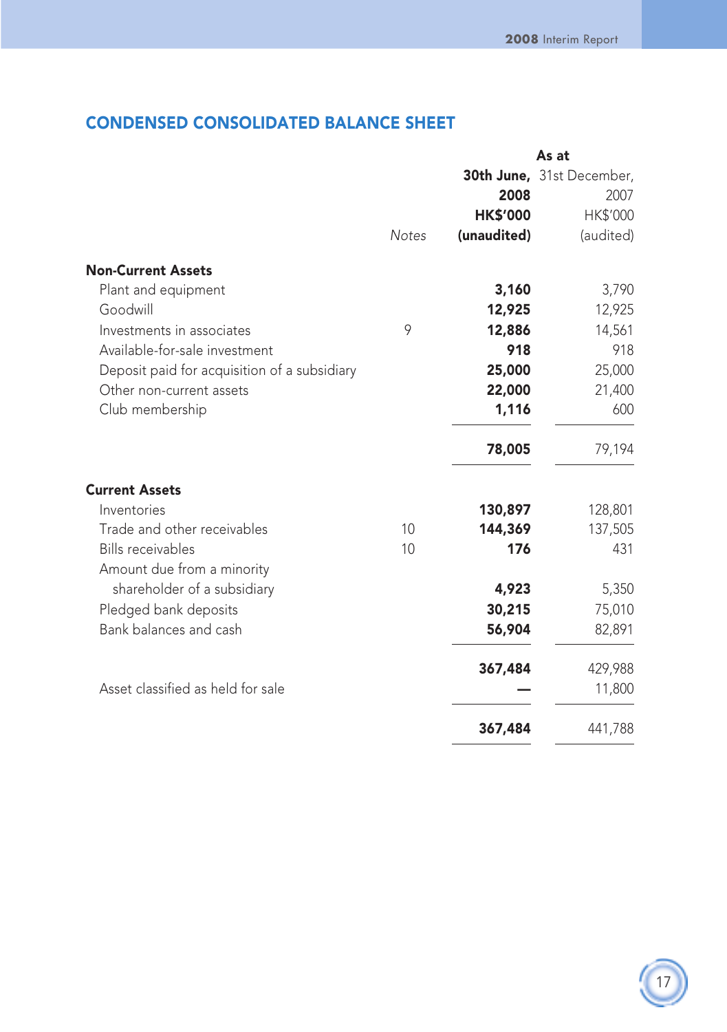## CONDENSED CONSOLIDATED BALANCE SHEET

|                                              |              | As at           |                           |  |
|----------------------------------------------|--------------|-----------------|---------------------------|--|
|                                              |              |                 | 30th June, 31st December, |  |
|                                              |              | 2008            | 2007                      |  |
|                                              |              | <b>HK\$'000</b> | HK\$'000                  |  |
|                                              | <b>Notes</b> | (unaudited)     | (audited)                 |  |
| <b>Non-Current Assets</b>                    |              |                 |                           |  |
| Plant and equipment                          |              | 3,160           | 3,790                     |  |
| Goodwill                                     |              | 12,925          | 12,925                    |  |
| Investments in associates                    | 9            | 12,886          | 14,561                    |  |
| Available-for-sale investment                |              | 918             | 918                       |  |
| Deposit paid for acquisition of a subsidiary |              | 25,000          | 25,000                    |  |
| Other non-current assets                     |              | 22,000          | 21,400                    |  |
| Club membership                              |              | 1,116           | 600                       |  |
|                                              |              | 78,005          | 79,194                    |  |
| <b>Current Assets</b>                        |              |                 |                           |  |
| Inventories                                  |              | 130,897         | 128,801                   |  |
| Trade and other receivables                  | 10           | 144,369         | 137,505                   |  |
| <b>Bills receivables</b>                     | 10           | 176             | 431                       |  |
| Amount due from a minority                   |              |                 |                           |  |
| shareholder of a subsidiary                  |              | 4,923           | 5,350                     |  |
| Pledged bank deposits                        |              | 30,215          | 75,010                    |  |
| Bank balances and cash                       |              | 56,904          | 82,891                    |  |
|                                              |              | 367,484         | 429,988                   |  |
| Asset classified as held for sale            |              |                 | 11,800                    |  |
|                                              |              | 367,484         | 441,788                   |  |

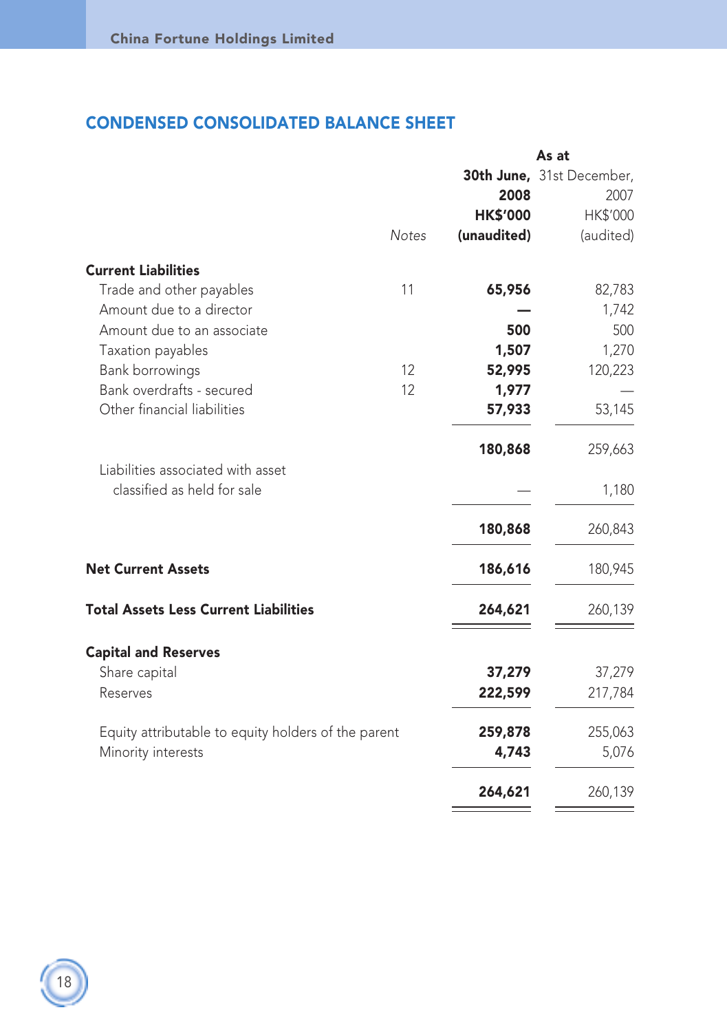## CONDENSED CONSOLIDATED BALANCE SHEET

|                                                                  |              |                 | As at                     |
|------------------------------------------------------------------|--------------|-----------------|---------------------------|
|                                                                  |              |                 | 30th June, 31st December, |
|                                                                  |              | 2008            | 2007                      |
|                                                                  |              | <b>HK\$'000</b> | HK\$'000                  |
|                                                                  | <b>Notes</b> | (unaudited)     | (audited)                 |
| <b>Current Liabilities</b>                                       |              |                 |                           |
| Trade and other payables                                         | 11           | 65,956          | 82,783                    |
| Amount due to a director                                         |              |                 | 1,742                     |
| Amount due to an associate                                       |              | 500             | 500                       |
| Taxation payables                                                |              | 1,507           | 1,270                     |
| Bank borrowings                                                  | 12           | 52,995          | 120,223                   |
| Bank overdrafts - secured                                        | 12           | 1,977           |                           |
| Other financial liabilities                                      |              | 57,933          | 53,145                    |
|                                                                  |              | 180,868         | 259,663                   |
| Liabilities associated with asset<br>classified as held for sale |              |                 |                           |
|                                                                  |              |                 | 1,180                     |
|                                                                  |              | 180,868         | 260,843                   |
| <b>Net Current Assets</b>                                        |              | 186,616         | 180,945                   |
| <b>Total Assets Less Current Liabilities</b>                     |              | 264,621         | 260,139                   |
| <b>Capital and Reserves</b>                                      |              |                 |                           |
| Share capital                                                    |              | 37,279          | 37,279                    |
| Reserves                                                         |              | 222,599         | 217,784                   |
| Equity attributable to equity holders of the parent              |              | 259,878         | 255,063                   |
| Minority interests                                               |              | 4,743           | 5,076                     |
|                                                                  |              | 264,621         | 260,139                   |
|                                                                  |              |                 |                           |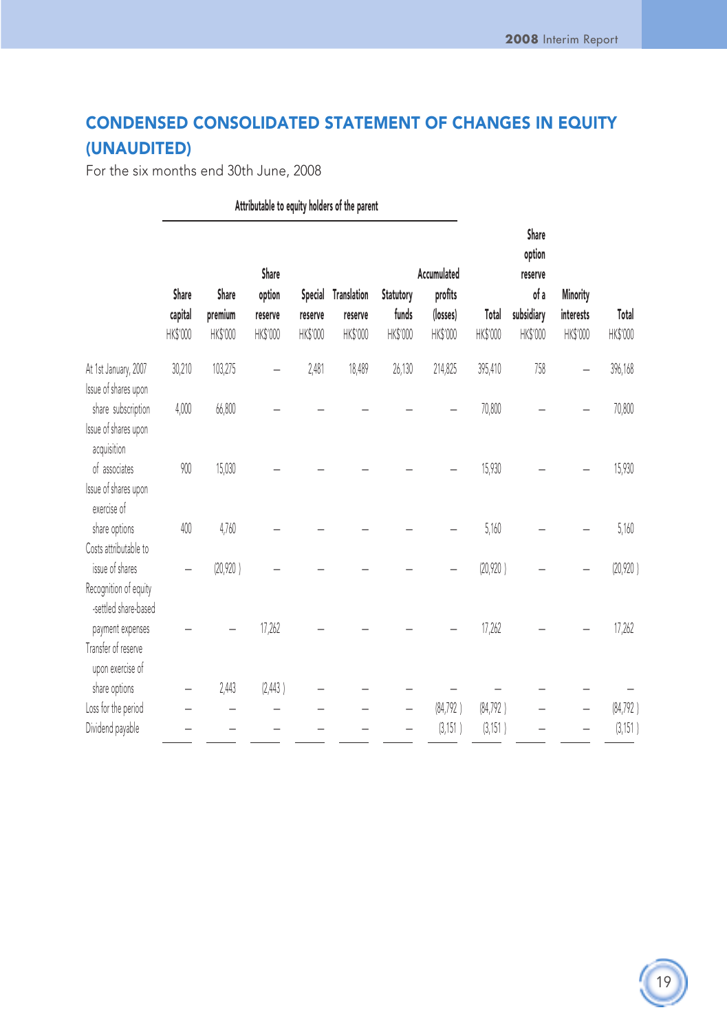## CONDENSED CONSOLIDATED STATEMENT OF CHANGES IN EQUITY (UNAUDITED)

For the six months end 30th June, 2008

|                                                                                           |                              | Attributable to equity holders of the parent |                                        |                     |                                            |                                |                                                |                      |                                                              |                                   |                       |
|-------------------------------------------------------------------------------------------|------------------------------|----------------------------------------------|----------------------------------------|---------------------|--------------------------------------------|--------------------------------|------------------------------------------------|----------------------|--------------------------------------------------------------|-----------------------------------|-----------------------|
|                                                                                           | Share<br>capital<br>HK\$'000 | Share<br>premium<br>HK\$'000                 | Share<br>option<br>reserve<br>HK\$'000 | reserve<br>HK\$'000 | Special Translation<br>reserve<br>HK\$'000 | Statutory<br>funds<br>HK\$'000 | Accumulated<br>profits<br>(losses)<br>HK\$'000 | Total<br>HK\$'000    | Share<br>option<br>reserve<br>of a<br>subsidiary<br>HK\$'000 | Minority<br>interests<br>HK\$'000 | Total<br>HK\$'000     |
| At 1st January, 2007                                                                      | 30,210                       | 103,275                                      |                                        | 2,481               | 18,489                                     | 26,130                         | 214,825                                        | 395,410              | 758                                                          |                                   | 396,168               |
| Issue of shares upon<br>share subscription<br>Issue of shares upon                        | 4,000                        | 66,800                                       |                                        |                     |                                            |                                |                                                | 70,800               |                                                              |                                   | 70,800                |
| acquisition<br>of associates<br>Issue of shares upon<br>exercise of                       | 900                          | 15,030                                       |                                        |                     |                                            |                                |                                                | 15,930               |                                                              |                                   | 15,930                |
| share options                                                                             | 400                          | 4,760                                        |                                        |                     |                                            |                                |                                                | 5,160                |                                                              |                                   | 5,160                 |
| Costs attributable to<br>issue of shares<br>Recognition of equity<br>-settled share-based |                              | (20, 920)                                    |                                        |                     |                                            |                                |                                                | (20, 920)            |                                                              |                                   | (20,920)              |
| payment expenses<br>Transfer of reserve<br>upon exercise of                               |                              |                                              | 17,262                                 |                     |                                            |                                |                                                | 17,262               |                                                              |                                   | 17,262                |
| share options                                                                             |                              | 2,443                                        | (2,443)                                |                     |                                            |                                |                                                |                      |                                                              |                                   |                       |
| Loss for the period<br>Dividend payable                                                   |                              |                                              |                                        |                     |                                            |                                | (84, 792)<br>(3, 151)                          | (84, 792)<br>(3,151) |                                                              |                                   | (84, 792)<br>(3, 151) |
|                                                                                           |                              |                                              |                                        |                     |                                            |                                |                                                |                      |                                                              |                                   |                       |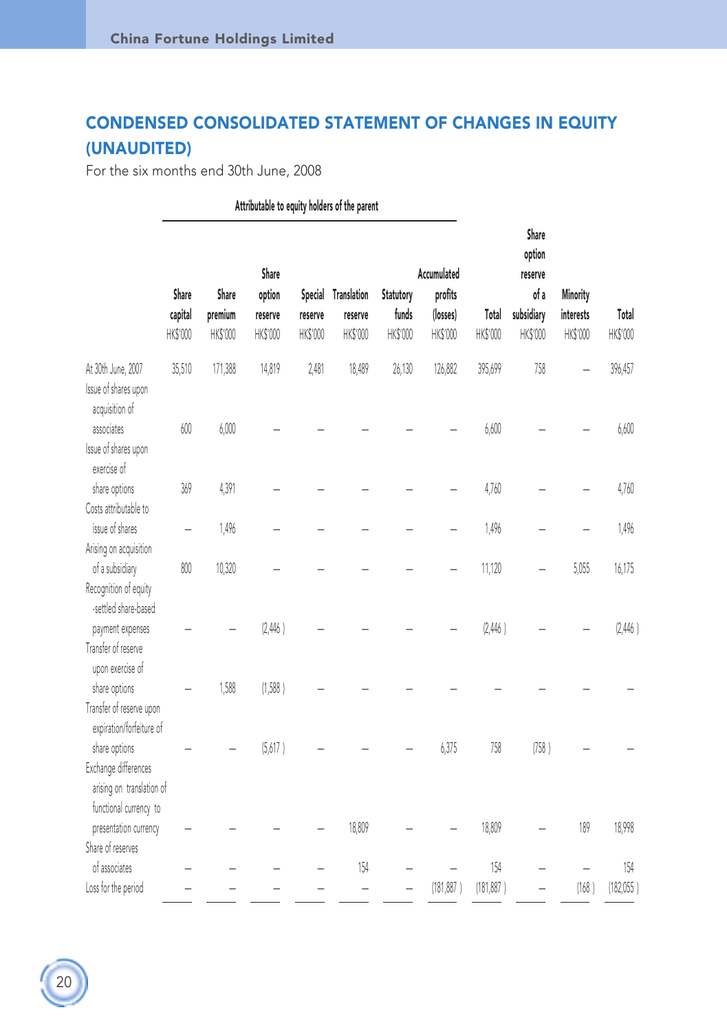## CONDENSED CONSOLIDATED STATEMENT OF CHANGES IN EQUITY (UNAUDITED)

For the six months end 30th June, 2008

Attributable to equity holders of the parent Share option Share **Accumulated** reserve Share Share option Special Translation Statutory profits **of a Minority** capital premium reserve reserve reserve funds (losses) Total subsidiary interests Total HK\$'000 HK\$'000 HK\$'000 HK\$'000 HK\$'000 HK\$'000 HK\$'000 HK\$'000 HK\$'000 HK\$'000 HK\$'000 At 30th June, 2007 35,510 171,388 14,819 2,481 18,489 26,130 126,882 395,699 758 — 396,457 Issue of shares upon acquisition of associates 600 6,000 ————— 6,600 — — 6,600 Issue of shares upon exercise of share options 369 4,391 ————— 4,760 — — 4,760 Costs attributable to issue of shares — 1,496 ————— 1,496 — — 1,496 Arising on acquisition of a subsidiary 800 10,320 ————— 11,120 — 5,055 16,175 Recognition of equity -settled share-based payment expenses  $(2,446)$   $(2,446)$   $(2,446)$ Transfer of reserve upon exercise of share options — 1,500 (1,500 ) — — — — — — — — — — — Transfer of reserve upon expiration/forfeiture of share options — — — (3,017 ) — — — — 0,373 7.30 (730 ) — — Exchange differences arising on translation of functional currency to presentation currency ———— 18,809 — — 18,809 — 189 18,998 Share of reserves of associates ———— 154 — — 154 — — 154 Loss for the period —————— (181,887 ) (181,887 ) — (168 ) (182,055 )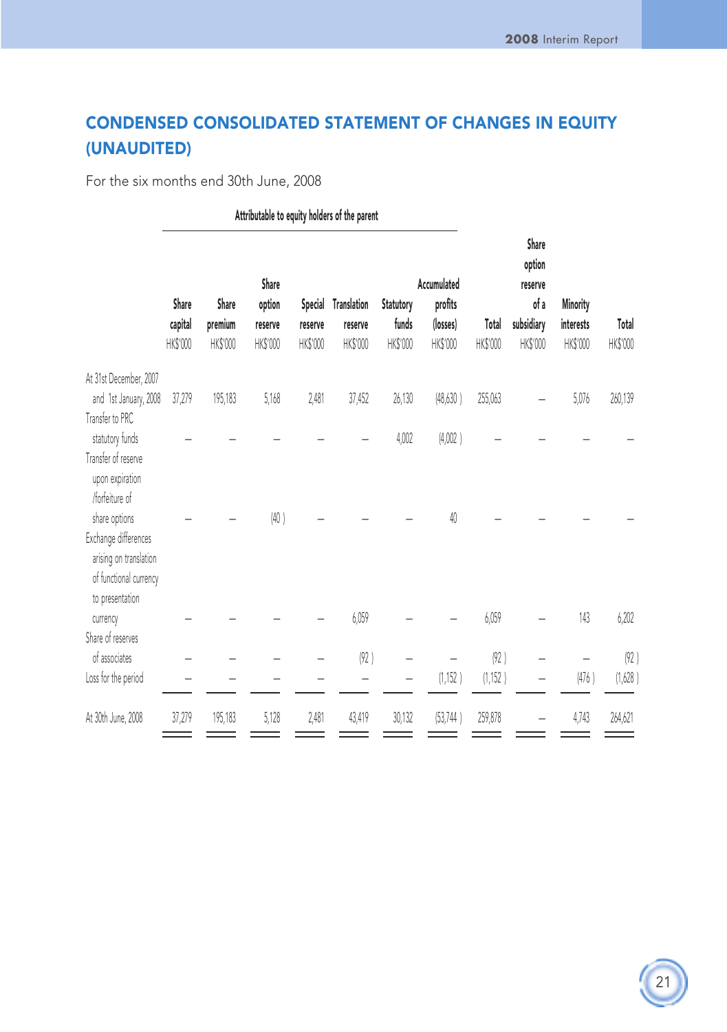## CONDENSED CONSOLIDATED STATEMENT OF CHANGES IN EQUITY (UNAUDITED)

For the six months end 30th June, 2008

|                                                                                             | Attributable to equity holders of the parent |                              |                                        |                     |                                            |                                |                                                |                   |                                                              |                                   |                   |
|---------------------------------------------------------------------------------------------|----------------------------------------------|------------------------------|----------------------------------------|---------------------|--------------------------------------------|--------------------------------|------------------------------------------------|-------------------|--------------------------------------------------------------|-----------------------------------|-------------------|
|                                                                                             | Share<br>capital<br>HK\$'000                 | Share<br>premium<br>HK\$'000 | Share<br>option<br>reserve<br>HK\$'000 | reserve<br>HK\$'000 | Special Translation<br>reserve<br>HK\$'000 | Statutory<br>funds<br>HK\$'000 | Accumulated<br>profits<br>(losses)<br>HK\$'000 | Total<br>HK\$'000 | Share<br>option<br>reserve<br>of a<br>subsidiary<br>HK\$'000 | Minority<br>interests<br>HK\$'000 | Total<br>HK\$'000 |
| At 31st December, 2007                                                                      |                                              |                              |                                        |                     |                                            |                                |                                                |                   |                                                              |                                   |                   |
| and 1st January, 2008<br>Transfer to PRC                                                    | 37,279                                       | 195,183                      | 5,168                                  | 2,481               | 37,452                                     | 26,130                         | (48, 630)                                      | 255,063           |                                                              | 5,076                             | 260,139           |
| statutory funds                                                                             |                                              |                              |                                        |                     |                                            | 4,002                          | (4,002)                                        |                   |                                                              |                                   |                   |
| Transfer of reserve<br>upon expiration<br>/forfeiture of                                    |                                              |                              |                                        |                     |                                            |                                |                                                |                   |                                                              |                                   |                   |
| share options                                                                               |                                              |                              | (40)                                   |                     |                                            |                                | 40                                             |                   |                                                              |                                   |                   |
| Exchange differences<br>arising on translation<br>of functional currency<br>to presentation |                                              |                              |                                        |                     |                                            |                                |                                                |                   |                                                              |                                   |                   |
| currency                                                                                    |                                              |                              |                                        |                     | 6,059                                      |                                |                                                | 6,059             |                                                              | 143                               | 6,202             |
| Share of reserves<br>of associates<br>Loss for the period                                   |                                              |                              |                                        |                     | (92)                                       |                                | (1, 152)                                       | (92)<br>(1, 152)  |                                                              | (476)                             | (92)<br>(1,628)   |
|                                                                                             |                                              |                              |                                        |                     |                                            |                                |                                                |                   |                                                              |                                   |                   |
| At 30th June, 2008                                                                          | 37,279                                       | 195,183                      | 5,128                                  | 2,481               | 43,419                                     | 30,132                         | (53, 744)                                      | 259,878           |                                                              | 4,743                             | 264,621           |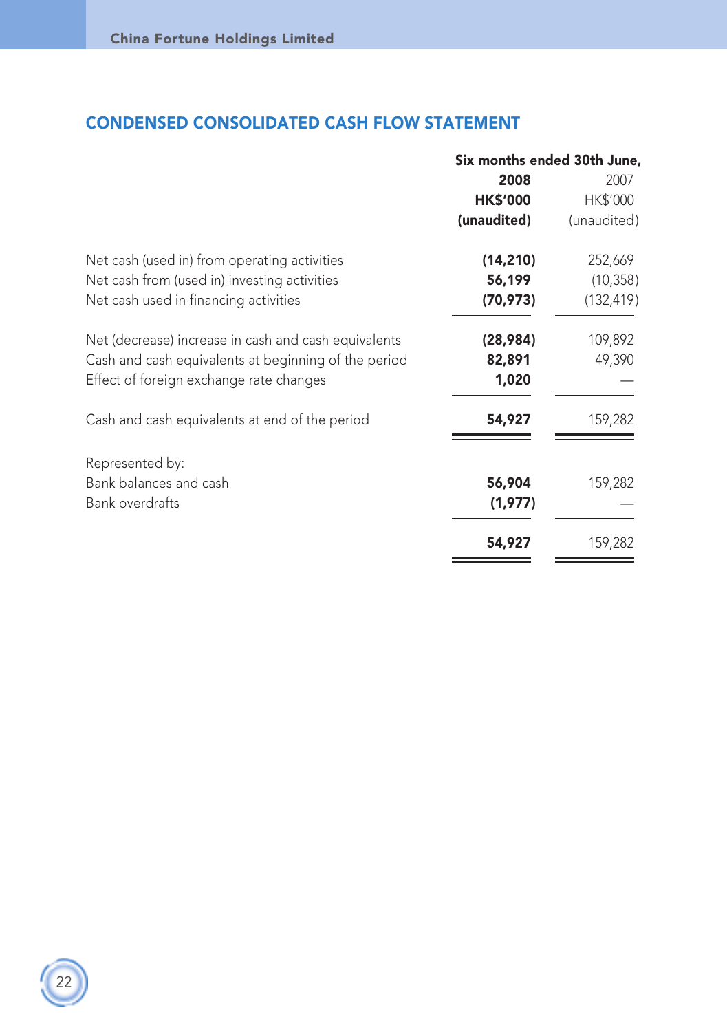## CONDENSED CONSOLIDATED CASH FLOW STATEMENT

|                                                      | Six months ended 30th June, |             |  |  |
|------------------------------------------------------|-----------------------------|-------------|--|--|
|                                                      | 2008                        | 2007        |  |  |
|                                                      | <b>HK\$'000</b>             | HK\$'000    |  |  |
|                                                      | (unaudited)                 | (unaudited) |  |  |
| Net cash (used in) from operating activities         | (14, 210)                   | 252,669     |  |  |
| Net cash from (used in) investing activities         | 56,199                      | (10, 358)   |  |  |
| Net cash used in financing activities                | (70, 973)                   | (132, 419)  |  |  |
| Net (decrease) increase in cash and cash equivalents | (28,984)                    | 109,892     |  |  |
| Cash and cash equivalents at beginning of the period | 82,891                      | 49,390      |  |  |
| Effect of foreign exchange rate changes              | 1,020                       |             |  |  |
| Cash and cash equivalents at end of the period       | 54,927                      | 159,282     |  |  |
| Represented by:                                      |                             |             |  |  |
| Bank balances and cash                               | 56,904                      | 159,282     |  |  |
| <b>Bank overdrafts</b>                               | (1,977)                     |             |  |  |
|                                                      | 54,927                      | 159,282     |  |  |
|                                                      |                             |             |  |  |

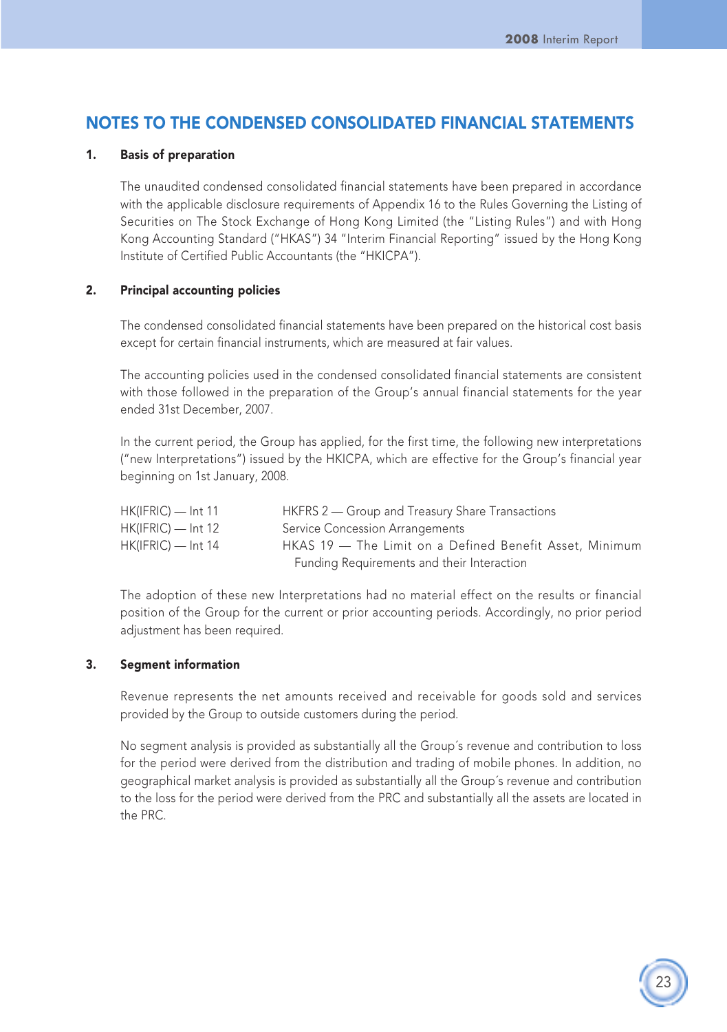## NOTES TO THE CONDENSED CONSOLIDATED FINANCIAL STATEMENTS

#### 1. Basis of preparation

The unaudited condensed consolidated financial statements have been prepared in accordance with the applicable disclosure requirements of Appendix 16 to the Rules Governing the Listing of Securities on The Stock Exchange of Hong Kong Limited (the "Listing Rules") and with Hong Kong Accounting Standard ("HKAS") 34 "Interim Financial Reporting" issued by the Hong Kong Institute of Certified Public Accountants (the "HKICPA").

#### 2. Principal accounting policies

The condensed consolidated financial statements have been prepared on the historical cost basis except for certain financial instruments, which are measured at fair values.

The accounting policies used in the condensed consolidated financial statements are consistent with those followed in the preparation of the Group's annual financial statements for the year ended 31st December, 2007.

In the current period, the Group has applied, for the first time, the following new interpretations ("new Interpretations") issued by the HKICPA, which are effective for the Group's financial year beginning on 1st January, 2008.

| $HK(IFRIC)$ — Int 11 | HKFRS 2 – Group and Treasury Share Transactions         |
|----------------------|---------------------------------------------------------|
| $HK(IFRIC)$ — Int 12 | Service Concession Arrangements                         |
| $HK(IFRIC)$ — Int 14 | HKAS 19 - The Limit on a Defined Benefit Asset. Minimum |
|                      | Funding Requirements and their Interaction              |

The adoption of these new Interpretations had no material effect on the results or financial position of the Group for the current or prior accounting periods. Accordingly, no prior period adjustment has been required.

#### 3. Segment information

Revenue represents the net amounts received and receivable for goods sold and services provided by the Group to outside customers during the period.

No segment analysis is provided as substantially all the Group´s revenue and contribution to loss for the period were derived from the distribution and trading of mobile phones. In addition, no geographical market analysis is provided as substantially all the Group´s revenue and contribution to the loss for the period were derived from the PRC and substantially all the assets are located in the PRC.

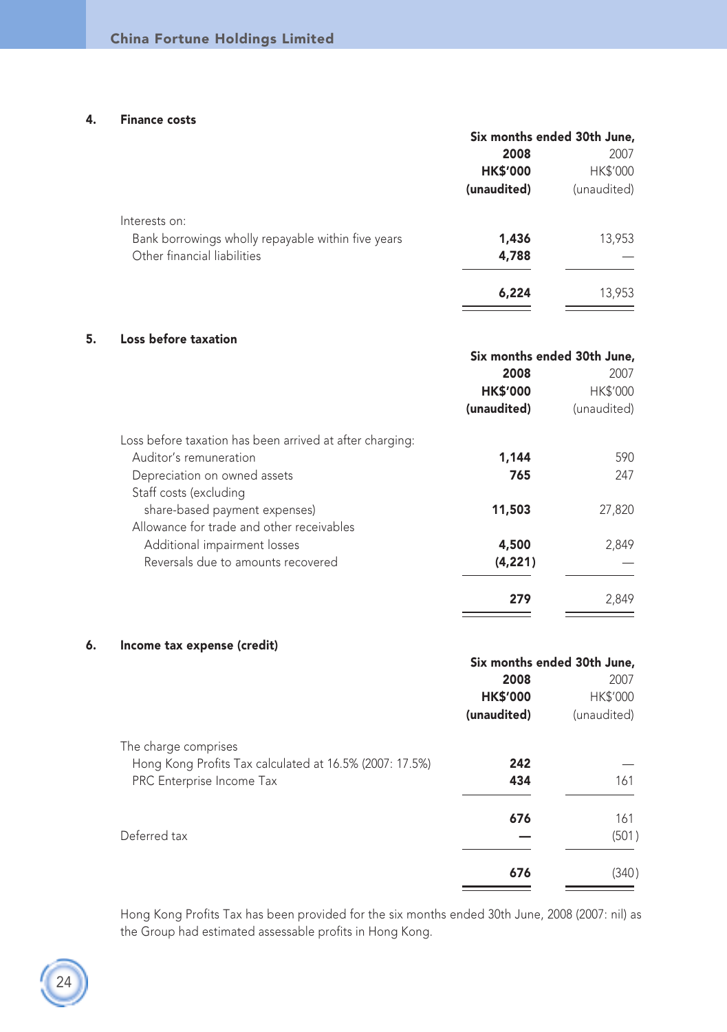#### 4. Finance costs

|                                                    | Six months ended 30th June, |                 |
|----------------------------------------------------|-----------------------------|-----------------|
|                                                    | 2008                        | 2007            |
|                                                    | <b>HK\$'000</b>             | <b>HK\$'000</b> |
|                                                    | (unaudited)                 | (unaudited)     |
| Interests on:                                      |                             |                 |
| Bank borrowings wholly repayable within five years | 1,436                       | 13,953          |
| Other financial liabilities                        | 4,788                       |                 |
|                                                    | 6,224                       | 13,953          |

#### 5. Loss before taxation

|                                                          | Six months ended 30th June, |                 |
|----------------------------------------------------------|-----------------------------|-----------------|
|                                                          | 2008                        | 2007            |
|                                                          | <b>HK\$'000</b>             | <b>HK\$'000</b> |
|                                                          | (unaudited)                 | (unaudited)     |
| Loss before taxation has been arrived at after charging: |                             |                 |
| Auditor's remuneration                                   | 1,144                       | 590             |
| Depreciation on owned assets                             | 765                         | 247             |
| Staff costs (excluding                                   |                             |                 |
| share-based payment expenses)                            | 11,503                      | 27,820          |
| Allowance for trade and other receivables                |                             |                 |
| Additional impairment losses                             | 4,500                       | 2,849           |
| Reversals due to amounts recovered                       | (4, 221)                    |                 |
|                                                          | 279                         | 2.849           |

#### 6. Income tax expense (credit)

|                                                         | Six months ended 30th June, |             |
|---------------------------------------------------------|-----------------------------|-------------|
|                                                         | 2008                        | 2007        |
|                                                         | <b>HK\$'000</b>             | HK\$'000    |
|                                                         | (unaudited)                 | (unaudited) |
| The charge comprises                                    |                             |             |
| Hong Kong Profits Tax calculated at 16.5% (2007: 17.5%) | 242                         |             |
| PRC Enterprise Income Tax                               | 434                         | 161         |
|                                                         | 676                         | 161         |
| Deferred tax                                            |                             | (501)       |
|                                                         | 676                         | (340)       |
|                                                         |                             |             |

Hong Kong Profits Tax has been provided for the six months ended 30th June, 2008 (2007: nil) as the Group had estimated assessable profits in Hong Kong.

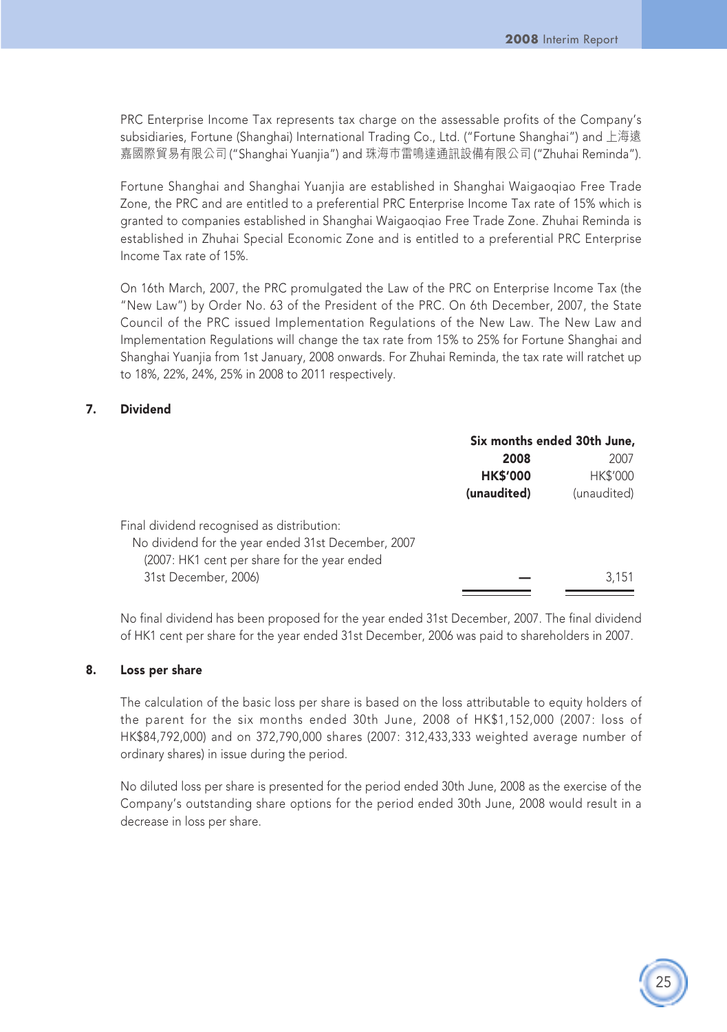25

PRC Enterprise Income Tax represents tax charge on the assessable profits of the Company's subsidiaries, Fortune (Shanghai) International Trading Co., Ltd. ("Fortune Shanghai") and 上海遠 嘉國際貿易有限公司 ("Shanghai Yuanjia") and 珠海巿雷鳴達通訊設備有限公司 ("Zhuhai Reminda").

Fortune Shanghai and Shanghai Yuanjia are established in Shanghai Waigaoqiao Free Trade Zone, the PRC and are entitled to a preferential PRC Enterprise Income Tax rate of 15% which is granted to companies established in Shanghai Waigaoqiao Free Trade Zone. Zhuhai Reminda is established in Zhuhai Special Economic Zone and is entitled to a preferential PRC Enterprise Income Tax rate of 15%.

On 16th March, 2007, the PRC promulgated the Law of the PRC on Enterprise Income Tax (the "New Law") by Order No. 63 of the President of the PRC. On 6th December, 2007, the State Council of the PRC issued Implementation Regulations of the New Law. The New Law and Implementation Regulations will change the tax rate from 15% to 25% for Fortune Shanghai and Shanghai Yuanjia from 1st January, 2008 onwards. For Zhuhai Reminda, the tax rate will ratchet up to 18%, 22%, 24%, 25% in 2008 to 2011 respectively.

#### 7. Dividend

|                                                    | Six months ended 30th June, |                 |
|----------------------------------------------------|-----------------------------|-----------------|
|                                                    | 2008                        | 2007            |
|                                                    | <b>HK\$'000</b>             | <b>HK\$'000</b> |
|                                                    | (unaudited)                 | (unaudited)     |
| Final dividend recognised as distribution:         |                             |                 |
| No dividend for the year ended 31st December, 2007 |                             |                 |
| (2007: HK1 cent per share for the year ended       |                             |                 |
| 31st December, 2006)                               |                             | 3.151           |
|                                                    |                             |                 |

No final dividend has been proposed for the year ended 31st December, 2007. The final dividend of HK1 cent per share for the year ended 31st December, 2006 was paid to shareholders in 2007.

#### 8. Loss per share

The calculation of the basic loss per share is based on the loss attributable to equity holders of the parent for the six months ended 30th June, 2008 of HK\$1,152,000 (2007: loss of HK\$84,792,000) and on 372,790,000 shares (2007: 312,433,333 weighted average number of ordinary shares) in issue during the period.

No diluted loss per share is presented for the period ended 30th June, 2008 as the exercise of the Company's outstanding share options for the period ended 30th June, 2008 would result in a decrease in loss per share.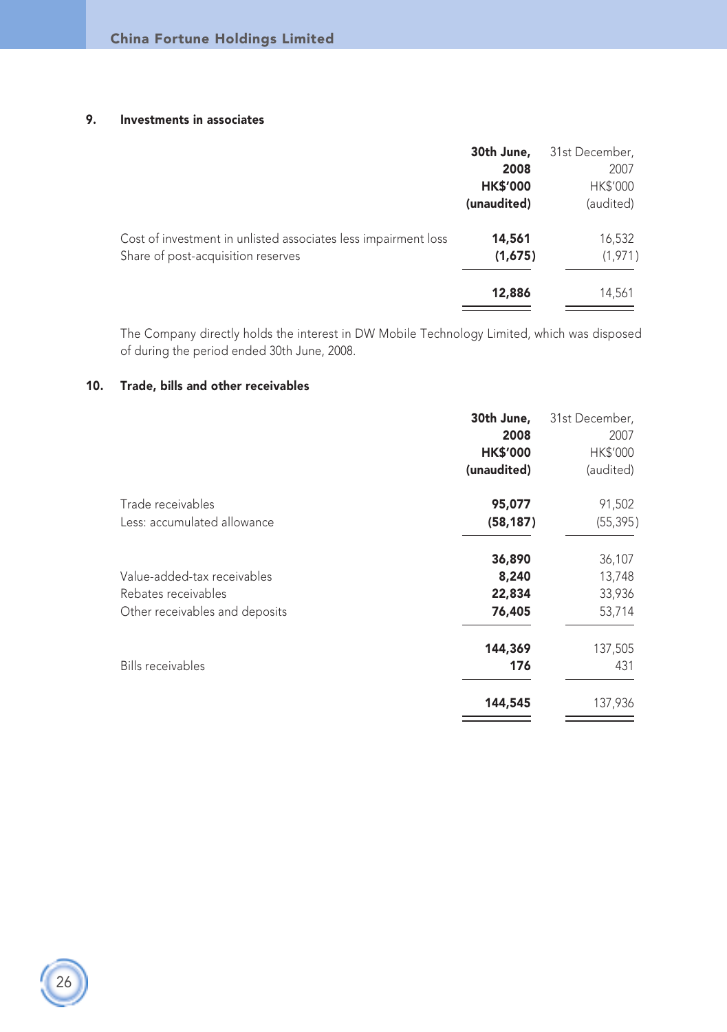#### 9. Investments in associates

|                                                                                                      | 30th June,<br>2008<br><b>HK\$'000</b><br>(unaudited) | 31st December,<br>2007<br>HK\$'000<br>(audited) |
|------------------------------------------------------------------------------------------------------|------------------------------------------------------|-------------------------------------------------|
| Cost of investment in unlisted associates less impairment loss<br>Share of post-acquisition reserves | 14,561<br>(1,675)                                    | 16,532<br>(1,971)                               |
|                                                                                                      | 12,886                                               | 14,561                                          |

The Company directly holds the interest in DW Mobile Technology Limited, which was disposed of during the period ended 30th June, 2008.

#### 10. Trade, bills and other receivables

|                                | 30th June,<br>2008<br><b>HK\$'000</b> | 31st December,<br>2007<br>HK\$'000 |
|--------------------------------|---------------------------------------|------------------------------------|
|                                | (unaudited)                           | (audited)                          |
| Trade receivables              | 95,077                                | 91,502                             |
| Less: accumulated allowance    | (58, 187)                             | (55, 395)                          |
|                                | 36,890                                | 36,107                             |
| Value-added-tax receivables    | 8,240                                 | 13,748                             |
| Rebates receivables            | 22,834                                | 33,936                             |
| Other receivables and deposits | 76,405                                | 53,714                             |
|                                | 144,369                               | 137,505                            |
| Bills receivables              | 176                                   | 431                                |
|                                | 144,545                               | 137,936                            |
|                                |                                       |                                    |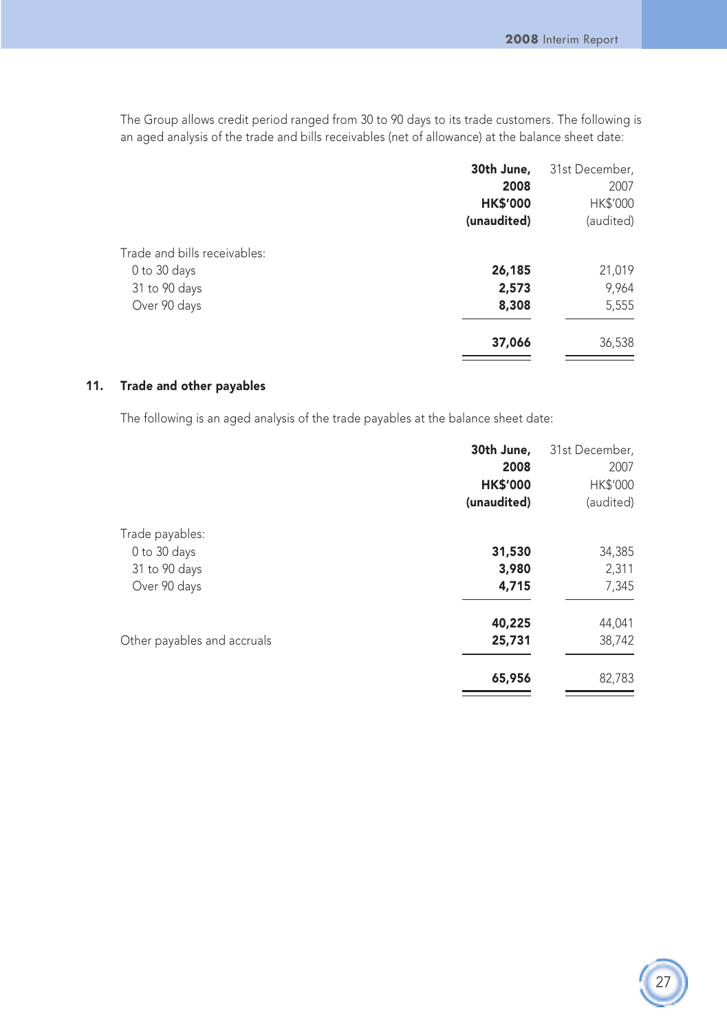The Group allows credit period ranged from 30 to 90 days to its trade customers. The following is an aged analysis of the trade and bills receivables (net of allowance) at the balance sheet date:

|                              | 30th June,      | 31st December, |
|------------------------------|-----------------|----------------|
|                              | 2008            | 2007           |
|                              | <b>HK\$'000</b> | HK\$'000       |
|                              | (unaudited)     | (audited)      |
| Trade and bills receivables: |                 |                |
| 0 to 30 days                 | 26,185          | 21,019         |
| 31 to 90 days                | 2,573           | 9,964          |
| Over 90 days                 | 8,308           | 5,555          |
|                              | 37,066          | 36,538         |

#### 11. Trade and other payables

The following is an aged analysis of the trade payables at the balance sheet date:

|                             | 30th June,      | 31st December, |
|-----------------------------|-----------------|----------------|
|                             | 2008            | 2007           |
|                             | <b>HK\$'000</b> | HK\$'000       |
|                             | (unaudited)     | (audited)      |
| Trade payables:             |                 |                |
| 0 to 30 days                | 31,530          | 34,385         |
| 31 to 90 days               | 3,980           | 2,311          |
| Over 90 days                | 4,715           | 7,345          |
|                             | 40,225          | 44,041         |
| Other payables and accruals | 25,731          | 38,742         |
|                             | 65,956          | 82,783         |
|                             |                 |                |